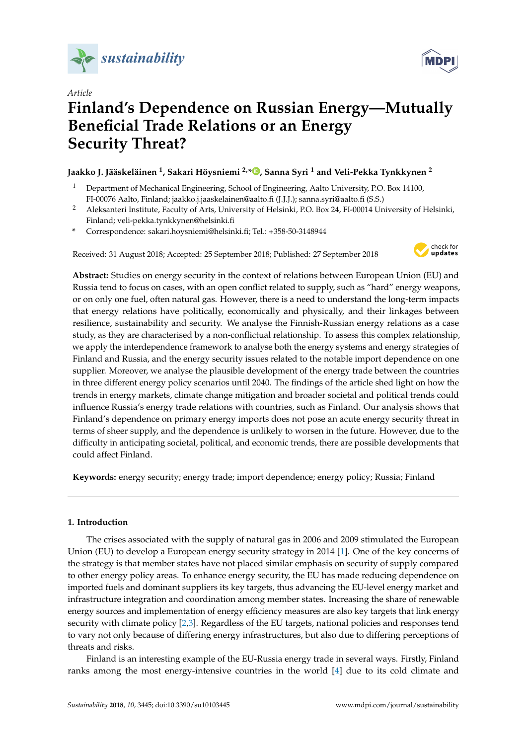



# *Article* **Finland's Dependence on Russian Energy—Mutually Beneficial Trade Relations or an Energy Security Threat?**

# **Jaakko J. Jääskeläinen <sup>1</sup> , Sakari Höysniemi 2,\* [,](https://orcid.org/0000-0003-2139-8284) Sanna Syri <sup>1</sup> and Veli-Pekka Tynkkynen <sup>2</sup>**

- <sup>1</sup> Department of Mechanical Engineering, School of Engineering, Aalto University, P.O. Box 14100, FI-00076 Aalto, Finland; jaakko.j.jaaskelainen@aalto.fi (J.J.J.); sanna.syri@aalto.fi (S.S.)
- <sup>2</sup> Aleksanteri Institute, Faculty of Arts, University of Helsinki, P.O. Box 24, FI-00014 University of Helsinki, Finland; veli-pekka.tynkkynen@helsinki.fi
- **\*** Correspondence: sakari.hoysniemi@helsinki.fi; Tel.: +358-50-3148944

Received: 31 August 2018; Accepted: 25 September 2018; Published: 27 September 2018



**Abstract:** Studies on energy security in the context of relations between European Union (EU) and Russia tend to focus on cases, with an open conflict related to supply, such as "hard" energy weapons, or on only one fuel, often natural gas. However, there is a need to understand the long-term impacts that energy relations have politically, economically and physically, and their linkages between resilience, sustainability and security. We analyse the Finnish-Russian energy relations as a case study, as they are characterised by a non-conflictual relationship. To assess this complex relationship, we apply the interdependence framework to analyse both the energy systems and energy strategies of Finland and Russia, and the energy security issues related to the notable import dependence on one supplier. Moreover, we analyse the plausible development of the energy trade between the countries in three different energy policy scenarios until 2040. The findings of the article shed light on how the trends in energy markets, climate change mitigation and broader societal and political trends could influence Russia's energy trade relations with countries, such as Finland. Our analysis shows that Finland's dependence on primary energy imports does not pose an acute energy security threat in terms of sheer supply, and the dependence is unlikely to worsen in the future. However, due to the difficulty in anticipating societal, political, and economic trends, there are possible developments that could affect Finland.

**Keywords:** energy security; energy trade; import dependence; energy policy; Russia; Finland

### **1. Introduction**

The crises associated with the supply of natural gas in 2006 and 2009 stimulated the European Union (EU) to develop a European energy security strategy in 2014 [\[1\]](#page-18-0). One of the key concerns of the strategy is that member states have not placed similar emphasis on security of supply compared to other energy policy areas. To enhance energy security, the EU has made reducing dependence on imported fuels and dominant suppliers its key targets, thus advancing the EU-level energy market and infrastructure integration and coordination among member states. Increasing the share of renewable energy sources and implementation of energy efficiency measures are also key targets that link energy security with climate policy [\[2,](#page-18-1)[3\]](#page-18-2). Regardless of the EU targets, national policies and responses tend to vary not only because of differing energy infrastructures, but also due to differing perceptions of threats and risks.

Finland is an interesting example of the EU-Russia energy trade in several ways. Firstly, Finland ranks among the most energy-intensive countries in the world [\[4\]](#page-18-3) due to its cold climate and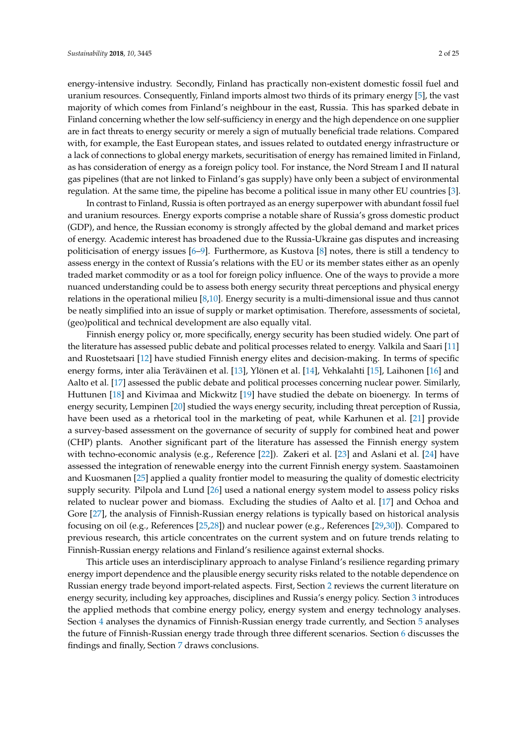energy-intensive industry. Secondly, Finland has practically non-existent domestic fossil fuel and uranium resources. Consequently, Finland imports almost two thirds of its primary energy [\[5\]](#page-18-4), the vast majority of which comes from Finland's neighbour in the east, Russia. This has sparked debate in Finland concerning whether the low self-sufficiency in energy and the high dependence on one supplier are in fact threats to energy security or merely a sign of mutually beneficial trade relations. Compared with, for example, the East European states, and issues related to outdated energy infrastructure or a lack of connections to global energy markets, securitisation of energy has remained limited in Finland, as has consideration of energy as a foreign policy tool. For instance, the Nord Stream I and II natural gas pipelines (that are not linked to Finland's gas supply) have only been a subject of environmental regulation. At the same time, the pipeline has become a political issue in many other EU countries [\[3\]](#page-18-2).

In contrast to Finland, Russia is often portrayed as an energy superpower with abundant fossil fuel and uranium resources. Energy exports comprise a notable share of Russia's gross domestic product (GDP), and hence, the Russian economy is strongly affected by the global demand and market prices of energy. Academic interest has broadened due to the Russia-Ukraine gas disputes and increasing politicisation of energy issues [\[6–](#page-18-5)[9\]](#page-18-6). Furthermore, as Kustova [\[8\]](#page-18-7) notes, there is still a tendency to assess energy in the context of Russia's relations with the EU or its member states either as an openly traded market commodity or as a tool for foreign policy influence. One of the ways to provide a more nuanced understanding could be to assess both energy security threat perceptions and physical energy relations in the operational milieu [\[8](#page-18-7)[,10\]](#page-18-8). Energy security is a multi-dimensional issue and thus cannot be neatly simplified into an issue of supply or market optimisation. Therefore, assessments of societal, (geo)political and technical development are also equally vital.

Finnish energy policy or, more specifically, energy security has been studied widely. One part of the literature has assessed public debate and political processes related to energy. Valkila and Saari [\[11\]](#page-18-9) and Ruostetsaari [\[12\]](#page-18-10) have studied Finnish energy elites and decision-making. In terms of specific energy forms, inter alia Teräväinen et al. [\[13\]](#page-19-0), Ylönen et al. [\[14\]](#page-19-1), Vehkalahti [\[15\]](#page-19-2), Laihonen [\[16\]](#page-19-3) and Aalto et al. [\[17\]](#page-19-4) assessed the public debate and political processes concerning nuclear power. Similarly, Huttunen [\[18\]](#page-19-5) and Kivimaa and Mickwitz [\[19\]](#page-19-6) have studied the debate on bioenergy. In terms of energy security, Lempinen [\[20\]](#page-19-7) studied the ways energy security, including threat perception of Russia, have been used as a rhetorical tool in the marketing of peat, while Karhunen et al. [\[21\]](#page-19-8) provide a survey-based assessment on the governance of security of supply for combined heat and power (CHP) plants. Another significant part of the literature has assessed the Finnish energy system with techno-economic analysis (e.g., Reference [\[22\]](#page-19-9)). Zakeri et al. [\[23\]](#page-19-10) and Aslani et al. [\[24\]](#page-19-11) have assessed the integration of renewable energy into the current Finnish energy system. Saastamoinen and Kuosmanen [\[25\]](#page-19-12) applied a quality frontier model to measuring the quality of domestic electricity supply security. Pilpola and Lund [\[26\]](#page-19-13) used a national energy system model to assess policy risks related to nuclear power and biomass. Excluding the studies of Aalto et al. [\[17\]](#page-19-4) and Ochoa and Gore [\[27\]](#page-19-14), the analysis of Finnish-Russian energy relations is typically based on historical analysis focusing on oil (e.g., References [\[25](#page-19-12)[,28\]](#page-19-15)) and nuclear power (e.g., References [\[29,](#page-19-16)[30\]](#page-19-17)). Compared to previous research, this article concentrates on the current system and on future trends relating to Finnish-Russian energy relations and Finland's resilience against external shocks.

This article uses an interdisciplinary approach to analyse Finland's resilience regarding primary energy import dependence and the plausible energy security risks related to the notable dependence on Russian energy trade beyond import-related aspects. First, Section [2](#page-2-0) reviews the current literature on energy security, including key approaches, disciplines and Russia's energy policy. Section [3](#page-3-0) introduces the applied methods that combine energy policy, energy system and energy technology analyses. Section [4](#page-5-0) analyses the dynamics of Finnish-Russian energy trade currently, and Section [5](#page-13-0) analyses the future of Finnish-Russian energy trade through three different scenarios. Section [6](#page-16-0) discusses the findings and finally, Section [7](#page-17-0) draws conclusions.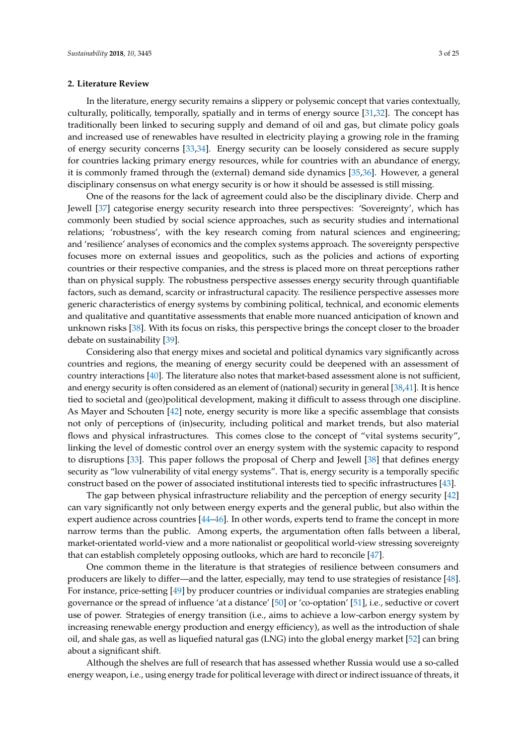#### <span id="page-2-0"></span>**2. Literature Review**

In the literature, energy security remains a slippery or polysemic concept that varies contextually, culturally, politically, temporally, spatially and in terms of energy source [\[31](#page-19-18)[,32\]](#page-19-19). The concept has traditionally been linked to securing supply and demand of oil and gas, but climate policy goals and increased use of renewables have resulted in electricity playing a growing role in the framing of energy security concerns [\[33](#page-19-20)[,34\]](#page-19-21). Energy security can be loosely considered as secure supply for countries lacking primary energy resources, while for countries with an abundance of energy, it is commonly framed through the (external) demand side dynamics [\[35,](#page-20-0)[36\]](#page-20-1). However, a general disciplinary consensus on what energy security is or how it should be assessed is still missing.

One of the reasons for the lack of agreement could also be the disciplinary divide. Cherp and Jewell [\[37\]](#page-20-2) categorise energy security research into three perspectives: 'Sovereignty', which has commonly been studied by social science approaches, such as security studies and international relations; 'robustness', with the key research coming from natural sciences and engineering; and 'resilience' analyses of economics and the complex systems approach. The sovereignty perspective focuses more on external issues and geopolitics, such as the policies and actions of exporting countries or their respective companies, and the stress is placed more on threat perceptions rather than on physical supply. The robustness perspective assesses energy security through quantifiable factors, such as demand, scarcity or infrastructural capacity. The resilience perspective assesses more generic characteristics of energy systems by combining political, technical, and economic elements and qualitative and quantitative assessments that enable more nuanced anticipation of known and unknown risks [\[38\]](#page-20-3). With its focus on risks, this perspective brings the concept closer to the broader debate on sustainability [\[39\]](#page-20-4).

Considering also that energy mixes and societal and political dynamics vary significantly across countries and regions, the meaning of energy security could be deepened with an assessment of country interactions [\[40\]](#page-20-5). The literature also notes that market-based assessment alone is not sufficient, and energy security is often considered as an element of (national) security in general [\[38](#page-20-3)[,41\]](#page-20-6). It is hence tied to societal and (geo)political development, making it difficult to assess through one discipline. As Mayer and Schouten [\[42\]](#page-20-7) note, energy security is more like a specific assemblage that consists not only of perceptions of (in)security, including political and market trends, but also material flows and physical infrastructures. This comes close to the concept of "vital systems security", linking the level of domestic control over an energy system with the systemic capacity to respond to disruptions [\[33\]](#page-19-20). This paper follows the proposal of Cherp and Jewell [\[38\]](#page-20-3) that defines energy security as "low vulnerability of vital energy systems". That is, energy security is a temporally specific construct based on the power of associated institutional interests tied to specific infrastructures [\[43\]](#page-20-8).

The gap between physical infrastructure reliability and the perception of energy security [\[42\]](#page-20-7) can vary significantly not only between energy experts and the general public, but also within the expert audience across countries [\[44](#page-20-9)[–46\]](#page-20-10). In other words, experts tend to frame the concept in more narrow terms than the public. Among experts, the argumentation often falls between a liberal, market-orientated world-view and a more nationalist or geopolitical world-view stressing sovereignty that can establish completely opposing outlooks, which are hard to reconcile [\[47\]](#page-20-11).

One common theme in the literature is that strategies of resilience between consumers and producers are likely to differ—and the latter, especially, may tend to use strategies of resistance [\[48\]](#page-20-12). For instance, price-setting [\[49\]](#page-20-13) by producer countries or individual companies are strategies enabling governance or the spread of influence 'at a distance' [\[50\]](#page-20-14) or 'co-optation' [\[51\]](#page-20-15), i.e., seductive or covert use of power. Strategies of energy transition (i.e., aims to achieve a low-carbon energy system by increasing renewable energy production and energy efficiency), as well as the introduction of shale oil, and shale gas, as well as liquefied natural gas (LNG) into the global energy market [\[52\]](#page-20-16) can bring about a significant shift.

Although the shelves are full of research that has assessed whether Russia would use a so-called energy weapon, i.e., using energy trade for political leverage with direct or indirect issuance of threats, it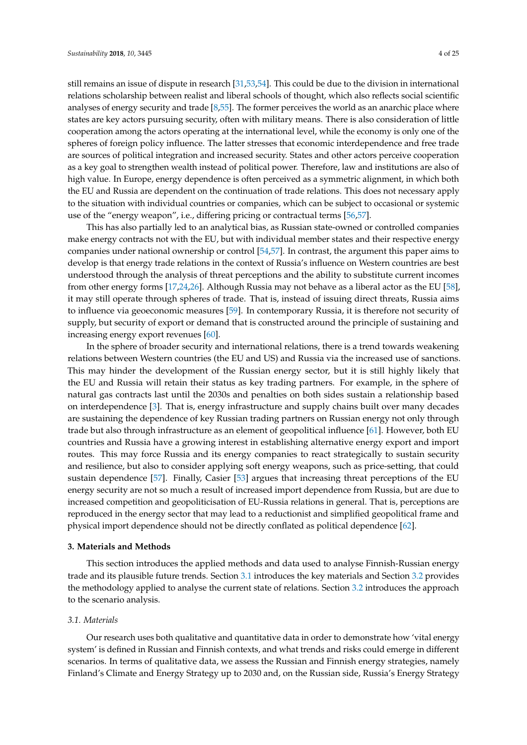still remains an issue of dispute in research [\[31](#page-19-18)[,53](#page-20-17)[,54\]](#page-20-18). This could be due to the division in international relations scholarship between realist and liberal schools of thought, which also reflects social scientific analyses of energy security and trade [\[8](#page-18-7)[,55\]](#page-20-19). The former perceives the world as an anarchic place where states are key actors pursuing security, often with military means. There is also consideration of little cooperation among the actors operating at the international level, while the economy is only one of the spheres of foreign policy influence. The latter stresses that economic interdependence and free trade are sources of political integration and increased security. States and other actors perceive cooperation as a key goal to strengthen wealth instead of political power. Therefore, law and institutions are also of high value. In Europe, energy dependence is often perceived as a symmetric alignment, in which both the EU and Russia are dependent on the continuation of trade relations. This does not necessary apply to the situation with individual countries or companies, which can be subject to occasional or systemic use of the "energy weapon", i.e., differing pricing or contractual terms [\[56](#page-20-20)[,57\]](#page-20-21).

This has also partially led to an analytical bias, as Russian state-owned or controlled companies make energy contracts not with the EU, but with individual member states and their respective energy companies under national ownership or control [\[54,](#page-20-18)[57\]](#page-20-21). In contrast, the argument this paper aims to develop is that energy trade relations in the context of Russia's influence on Western countries are best understood through the analysis of threat perceptions and the ability to substitute current incomes from other energy forms [\[17](#page-19-4)[,24](#page-19-11)[,26\]](#page-19-13). Although Russia may not behave as a liberal actor as the EU [\[58\]](#page-20-22), it may still operate through spheres of trade. That is, instead of issuing direct threats, Russia aims to influence via geoeconomic measures [\[59\]](#page-20-23). In contemporary Russia, it is therefore not security of supply, but security of export or demand that is constructed around the principle of sustaining and increasing energy export revenues [\[60\]](#page-20-24).

In the sphere of broader security and international relations, there is a trend towards weakening relations between Western countries (the EU and US) and Russia via the increased use of sanctions. This may hinder the development of the Russian energy sector, but it is still highly likely that the EU and Russia will retain their status as key trading partners. For example, in the sphere of natural gas contracts last until the 2030s and penalties on both sides sustain a relationship based on interdependence [\[3\]](#page-18-2). That is, energy infrastructure and supply chains built over many decades are sustaining the dependence of key Russian trading partners on Russian energy not only through trade but also through infrastructure as an element of geopolitical influence [\[61\]](#page-21-0). However, both EU countries and Russia have a growing interest in establishing alternative energy export and import routes. This may force Russia and its energy companies to react strategically to sustain security and resilience, but also to consider applying soft energy weapons, such as price-setting, that could sustain dependence [\[57\]](#page-20-21). Finally, Casier [\[53\]](#page-20-17) argues that increasing threat perceptions of the EU energy security are not so much a result of increased import dependence from Russia, but are due to increased competition and geopoliticisation of EU-Russia relations in general. That is, perceptions are reproduced in the energy sector that may lead to a reductionist and simplified geopolitical frame and physical import dependence should not be directly conflated as political dependence [\[62\]](#page-21-1).

#### <span id="page-3-0"></span>**3. Materials and Methods**

This section introduces the applied methods and data used to analyse Finnish-Russian energy trade and its plausible future trends. Section [3.1](#page-3-1) introduces the key materials and Section [3.2](#page-4-0) provides the methodology applied to analyse the current state of relations. Section [3.2](#page-4-0) introduces the approach to the scenario analysis.

#### <span id="page-3-1"></span>*3.1. Materials*

Our research uses both qualitative and quantitative data in order to demonstrate how 'vital energy system' is defined in Russian and Finnish contexts, and what trends and risks could emerge in different scenarios. In terms of qualitative data, we assess the Russian and Finnish energy strategies, namely Finland's Climate and Energy Strategy up to 2030 and, on the Russian side, Russia's Energy Strategy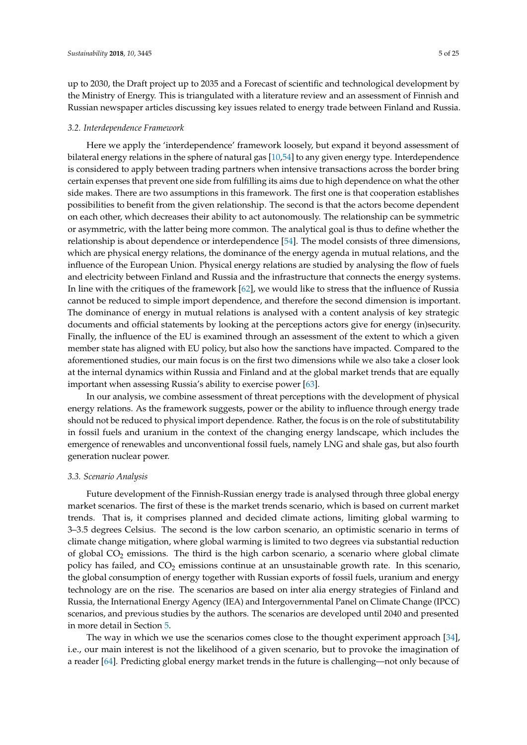up to 2030, the Draft project up to 2035 and a Forecast of scientific and technological development by the Ministry of Energy. This is triangulated with a literature review and an assessment of Finnish and Russian newspaper articles discussing key issues related to energy trade between Finland and Russia.

#### <span id="page-4-0"></span>*3.2. Interdependence Framework*

Here we apply the 'interdependence' framework loosely, but expand it beyond assessment of bilateral energy relations in the sphere of natural gas [\[10,](#page-18-8)[54\]](#page-20-18) to any given energy type. Interdependence is considered to apply between trading partners when intensive transactions across the border bring certain expenses that prevent one side from fulfilling its aims due to high dependence on what the other side makes. There are two assumptions in this framework. The first one is that cooperation establishes possibilities to benefit from the given relationship. The second is that the actors become dependent on each other, which decreases their ability to act autonomously. The relationship can be symmetric or asymmetric, with the latter being more common. The analytical goal is thus to define whether the relationship is about dependence or interdependence [\[54\]](#page-20-18). The model consists of three dimensions, which are physical energy relations, the dominance of the energy agenda in mutual relations, and the influence of the European Union. Physical energy relations are studied by analysing the flow of fuels and electricity between Finland and Russia and the infrastructure that connects the energy systems. In line with the critiques of the framework [\[62\]](#page-21-1), we would like to stress that the influence of Russia cannot be reduced to simple import dependence, and therefore the second dimension is important. The dominance of energy in mutual relations is analysed with a content analysis of key strategic documents and official statements by looking at the perceptions actors give for energy (in)security. Finally, the influence of the EU is examined through an assessment of the extent to which a given member state has aligned with EU policy, but also how the sanctions have impacted. Compared to the aforementioned studies, our main focus is on the first two dimensions while we also take a closer look at the internal dynamics within Russia and Finland and at the global market trends that are equally important when assessing Russia's ability to exercise power [\[63\]](#page-21-2).

In our analysis, we combine assessment of threat perceptions with the development of physical energy relations. As the framework suggests, power or the ability to influence through energy trade should not be reduced to physical import dependence. Rather, the focus is on the role of substitutability in fossil fuels and uranium in the context of the changing energy landscape, which includes the emergence of renewables and unconventional fossil fuels, namely LNG and shale gas, but also fourth generation nuclear power.

#### *3.3. Scenario Analysis*

Future development of the Finnish-Russian energy trade is analysed through three global energy market scenarios. The first of these is the market trends scenario, which is based on current market trends. That is, it comprises planned and decided climate actions, limiting global warming to 3–3.5 degrees Celsius. The second is the low carbon scenario, an optimistic scenario in terms of climate change mitigation, where global warming is limited to two degrees via substantial reduction of global  $CO<sub>2</sub>$  emissions. The third is the high carbon scenario, a scenario where global climate policy has failed, and  $CO<sub>2</sub>$  emissions continue at an unsustainable growth rate. In this scenario, the global consumption of energy together with Russian exports of fossil fuels, uranium and energy technology are on the rise. The scenarios are based on inter alia energy strategies of Finland and Russia, the International Energy Agency (IEA) and Intergovernmental Panel on Climate Change (IPCC) scenarios, and previous studies by the authors. The scenarios are developed until 2040 and presented in more detail in Section [5.](#page-13-0)

The way in which we use the scenarios comes close to the thought experiment approach [\[34\]](#page-19-21), i.e., our main interest is not the likelihood of a given scenario, but to provoke the imagination of a reader [\[64\]](#page-21-3). Predicting global energy market trends in the future is challenging—not only because of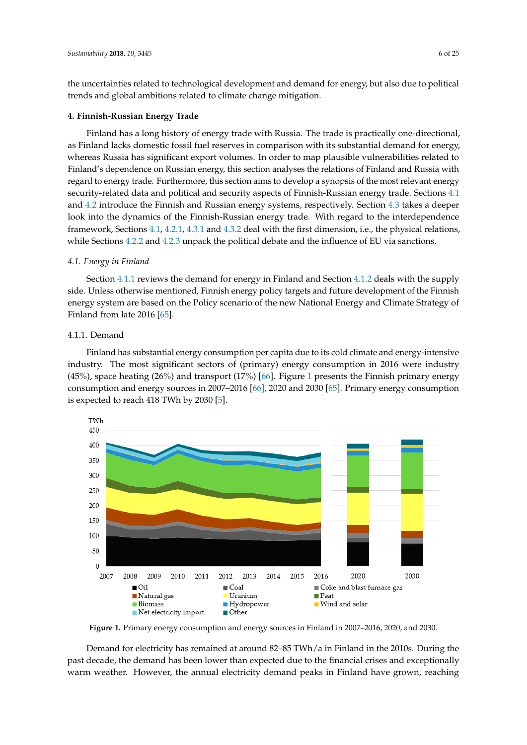the uncertainties related to technological development and demand for energy, but also due to political trends and global ambitions related to climate change mitigation.

### <span id="page-5-0"></span>**4. Finnish-Russian Energy Trade 4. Finnish-Russian Energy Trade**

Finland has a long history of energy trade with Russia. The trade is practically one-directional, Finland has a long history of energy trade with Russia. The trade is practically one-directional, as Finland lacks domestic fossil fuel reserves in comparison with its substantial demand for energy, as Finland lacks domestic fossil fuel reserves in comparison with its substantial demand for energy, whereas Russia has significant export volumes. In order to map plausible vulnerabilities related to whereas Russia has significant export volumes. In order to map plausible vulnerabilities related to Finland's dependence on Russian energy, this section analyses the relations of Finland and Russia with regard to energy trade. Furthermore, this section aims to develop a synopsis of the most relevant energy security-related data and political and security aspects of Finnish-Russian energy trade. Sections [4.1](#page-5-1) ecentry remied and drie performant eccurry dependent in the start russiant energy diader eccurries in and [4.2](#page-7-0) introduce the Finnish and Russian energy systems, respectively. Section [4.3](#page-9-0) takes a deeper look into the dynamics of the Finnish-Russian energy trade. With regard to the interdependence framework, Sections  $4.1$ ,  $4.2.1$ ,  $4.3.1$  and  $4.3.2$  deal with the first dimension, i.e., the physical relations, while Sections  $4.2.2$  and  $4.2.3$  unpack the political debate and the influence of EU via sanctions. a deeper look into the dynamics of the Finnish-Russian energy trade. With regard to the man with a deep

# <span id="page-5-1"></span>*4.1. Energy in Finland 4.1. Energy in Finland*

Section [4.1.1](#page-5-2) reviews the demand for energy in Finland and Section [4.1.2](#page-6-0) deals with the supply Section 4.1.1 reviews the demand for energy in Finland and Section 4.1.2 deals with the supply side. Unless otherwise mentioned, Finnish energy policy targets and future development of the Finnish side. Unless otherwise mentioned, Finnish energy policy targets and future development of the energy system are based on the Policy scenario of the new National Energy and Climate Strategy of Finland from late 2016  $[65]$ .

# <span id="page-5-2"></span>4.1.1. Demand 4.1.1. Demand

Finland has substantial energy consumption per capita due to its cold climate and energy-intensive Finland has substantial energy consumption per capita due to its cold climate and energyindustry. The most significant sectors of (primary) energy consumption in 2016 were industry (45%), space heating (26%) and transport (17%) [\[66\]](#page-21-5). [F](#page-5-3)igure 1 presents the Finnish primary energy consumption and energy sources in 2007–2016 [66], 2020 and 2030 [65]. Primary energy consumption energy consumption and energy sources in [2007](#page-21-5)–2016 [66], 2020 [an](#page-21-4)d 2030 [65]. Primary energy is expected to reach 418 [T](#page-18-4)Wh by 2030 [5].

<span id="page-5-3"></span>

**Figure 1.** Primary energy consumption and energy sources in Finland in 2007–2016, 2020, and 2030. **Figure 1.** Primary energy consumption and energy sources in Finland in 2007–2016, 2020, and 2030.

Demand for electricity has remained at around 82–85 TWh/a in Finland in the 2010s. During the Demand for electricity has remained at around 82–85 TWh/a in Finland in the 2010s. During the past decade, the demand has been lower than expected due to the financial crises and exceptionally past decade, the demand has been lower than expected due to the financial crises and exceptionally warm weather. However, the annual electricity demand peaks in Finland have grown, reaching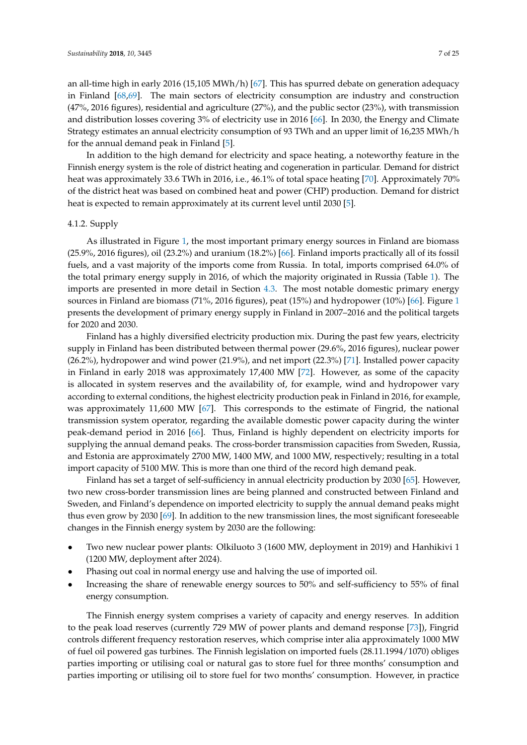an all-time high in early 2016 (15,105 MWh/h) [\[67\]](#page-21-6). This has spurred debate on generation adequacy in Finland [\[68](#page-21-7)[,69\]](#page-21-8). The main sectors of electricity consumption are industry and construction (47%, 2016 figures), residential and agriculture (27%), and the public sector (23%), with transmission and distribution losses covering 3% of electricity use in 2016 [\[66\]](#page-21-5). In 2030, the Energy and Climate Strategy estimates an annual electricity consumption of 93 TWh and an upper limit of 16,235 MWh/h for the annual demand peak in Finland [\[5\]](#page-18-4).

In addition to the high demand for electricity and space heating, a noteworthy feature in the Finnish energy system is the role of district heating and cogeneration in particular. Demand for district heat was approximately 33.6 TWh in 2016, i.e., 46.1% of total space heating [\[70\]](#page-21-9). Approximately 70% of the district heat was based on combined heat and power (CHP) production. Demand for district heat is expected to remain approximately at its current level until 2030 [\[5\]](#page-18-4).

#### <span id="page-6-0"></span>4.1.2. Supply

As illustrated in Figure [1,](#page-5-3) the most important primary energy sources in Finland are biomass (25.9%, 2016 figures), oil (23.2%) and uranium (18.2%) [\[66\]](#page-21-5). Finland imports practically all of its fossil fuels, and a vast majority of the imports come from Russia. In total, imports comprised 64.0% of the total primary energy supply in 2016, of which the majority originated in Russia (Table [1\)](#page-7-2). The imports are presented in more detail in Section [4.3.](#page-9-0) The most notable domestic primary energy sources in Finland are biomass (71%, 2016 figures), peat (15%) and hydropower (10%) [\[66\]](#page-21-5). Figure [1](#page-5-3) presents the development of primary energy supply in Finland in 2007–2016 and the political targets for 2020 and 2030.

Finland has a highly diversified electricity production mix. During the past few years, electricity supply in Finland has been distributed between thermal power (29.6%, 2016 figures), nuclear power (26.2%), hydropower and wind power (21.9%), and net import (22.3%) [\[71\]](#page-21-10). Installed power capacity in Finland in early 2018 was approximately 17,400 MW [\[72\]](#page-21-11). However, as some of the capacity is allocated in system reserves and the availability of, for example, wind and hydropower vary according to external conditions, the highest electricity production peak in Finland in 2016, for example, was approximately 11,600 MW [\[67\]](#page-21-6). This corresponds to the estimate of Fingrid, the national transmission system operator, regarding the available domestic power capacity during the winter peak-demand period in 2016 [\[66\]](#page-21-5). Thus, Finland is highly dependent on electricity imports for supplying the annual demand peaks. The cross-border transmission capacities from Sweden, Russia, and Estonia are approximately 2700 MW, 1400 MW, and 1000 MW, respectively; resulting in a total import capacity of 5100 MW. This is more than one third of the record high demand peak.

Finland has set a target of self-sufficiency in annual electricity production by 2030 [\[65\]](#page-21-4). However, two new cross-border transmission lines are being planned and constructed between Finland and Sweden, and Finland's dependence on imported electricity to supply the annual demand peaks might thus even grow by 2030 [\[69\]](#page-21-8). In addition to the new transmission lines, the most significant foreseeable changes in the Finnish energy system by 2030 are the following:

- Two new nuclear power plants: Olkiluoto 3 (1600 MW, deployment in 2019) and Hanhikivi 1 (1200 MW, deployment after 2024).
- Phasing out coal in normal energy use and halving the use of imported oil.
- Increasing the share of renewable energy sources to 50% and self-sufficiency to 55% of final energy consumption.

The Finnish energy system comprises a variety of capacity and energy reserves. In addition to the peak load reserves (currently 729 MW of power plants and demand response [\[73\]](#page-21-12)), Fingrid controls different frequency restoration reserves, which comprise inter alia approximately 1000 MW of fuel oil powered gas turbines. The Finnish legislation on imported fuels (28.11.1994/1070) obliges parties importing or utilising coal or natural gas to store fuel for three months' consumption and parties importing or utilising oil to store fuel for two months' consumption. However, in practice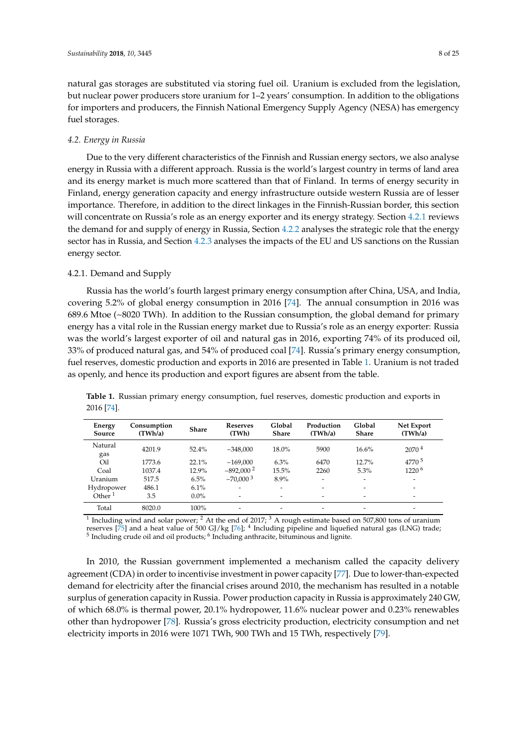natural gas storages are substituted via storing fuel oil. Uranium is excluded from the legislation, but nuclear power producers store uranium for 1–2 years' consumption. In addition to the obligations for importers and producers, the Finnish National Emergency Supply Agency (NESA) has emergency fuel storages.

#### <span id="page-7-0"></span>*4.2. Energy in Russia*

Due to the very different characteristics of the Finnish and Russian energy sectors, we also analyse energy in Russia with a different approach. Russia is the world's largest country in terms of land area and its energy market is much more scattered than that of Finland. In terms of energy security in Finland, energy generation capacity and energy infrastructure outside western Russia are of lesser importance. Therefore, in addition to the direct linkages in the Finnish-Russian border, this section will concentrate on Russia's role as an energy exporter and its energy strategy. Section [4.2.1](#page-7-1) reviews the demand for and supply of energy in Russia, Section [4.2.2](#page-8-0) analyses the strategic role that the energy sector has in Russia, and Section [4.2.3](#page-9-1) analyses the impacts of the EU and US sanctions on the Russian energy sector.

#### <span id="page-7-1"></span>4.2.1. Demand and Supply

Russia has the world's fourth largest primary energy consumption after China, USA, and India, covering 5.2% of global energy consumption in 2016 [\[74\]](#page-21-13). The annual consumption in 2016 was 689.6 Mtoe (~8020 TWh). In addition to the Russian consumption, the global demand for primary energy has a vital role in the Russian energy market due to Russia's role as an energy exporter: Russia was the world's largest exporter of oil and natural gas in 2016, exporting 74% of its produced oil, 33% of produced natural gas, and 54% of produced coal [\[74\]](#page-21-13). Russia's primary energy consumption, fuel reserves, domestic production and exports in 2016 are presented in Table [1.](#page-7-2) Uranium is not traded as openly, and hence its production and export figures are absent from the table.

| Energy<br>Source | Consumption<br>(TWh/a) | <b>Share</b> | <b>Reserves</b><br>(TWh) | Global<br><b>Share</b>   | Production<br>(TWh/a)    | Global<br><b>Share</b> | Net Export<br>(TWh/a)    |
|------------------|------------------------|--------------|--------------------------|--------------------------|--------------------------|------------------------|--------------------------|
| Natural          | 4201.9                 | 52.4%        | ~1000                    | 18.0%                    | 5900                     | 16.6%                  | 2070 <sup>4</sup>        |
| gas<br>Oil       | 1773.6                 | 22.1%        | ~169.000                 | $6.3\%$                  | 6470                     | 12.7%                  | 4770 $5$                 |
| Coal             | 1037.4                 | 12.9%        | $\sim$ 892,000 $^2$      | 15.5%                    | 2260                     | $5.3\%$                | $1220^{6}$               |
| Uranium          | 517.5                  | 6.5%         | ~100003                  | 8.9%                     | $\overline{\phantom{0}}$ | ٠                      | $\overline{\phantom{0}}$ |
| Hydropower       | 486.1                  | 6.1%         | $\overline{\phantom{a}}$ |                          |                          | -                      | -                        |
| Other $1$        | 3.5                    | $0.0\%$      | $\overline{\phantom{a}}$ | $\overline{\phantom{0}}$ | $\overline{\phantom{0}}$ | ۰                      | $\overline{\phantom{0}}$ |
| Total            | 8020.0                 | 100%         | $\overline{\phantom{0}}$ |                          |                          |                        |                          |

<span id="page-7-2"></span>**Table 1.** Russian primary energy consumption, fuel reserves, domestic production and exports in 2016 [\[74\]](#page-21-13).

<sup>1</sup> Including wind and solar power; <sup>2</sup> At the end of 2017; <sup>3</sup> A rough estimate based on 507,800 tons of uranium reserves [\[75\]](#page-21-14) and a heat value of 500 GJ/kg [\[76\]](#page-21-15); <sup>4</sup> Including pipeline and liquefied natural gas (LNG) trade;  $^5$  Including crude oil and oil products;  $^6$  Including anthracite, bituminous and lignite.

In 2010, the Russian government implemented a mechanism called the capacity delivery agreement (CDA) in order to incentivise investment in power capacity [\[77\]](#page-21-16). Due to lower-than-expected demand for electricity after the financial crises around 2010, the mechanism has resulted in a notable surplus of generation capacity in Russia. Power production capacity in Russia is approximately 240 GW, of which 68.0% is thermal power, 20.1% hydropower, 11.6% nuclear power and 0.23% renewables other than hydropower [\[78\]](#page-21-17). Russia's gross electricity production, electricity consumption and net electricity imports in 2016 were 1071 TWh, 900 TWh and 15 TWh, respectively [\[79\]](#page-21-18).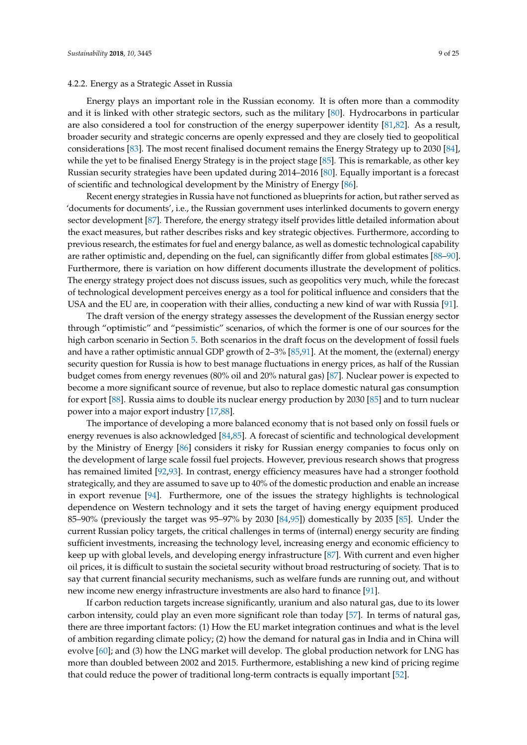#### <span id="page-8-0"></span>4.2.2. Energy as a Strategic Asset in Russia

Energy plays an important role in the Russian economy. It is often more than a commodity and it is linked with other strategic sectors, such as the military [\[80\]](#page-21-19). Hydrocarbons in particular are also considered a tool for construction of the energy superpower identity [\[81](#page-21-20)[,82\]](#page-21-21). As a result, broader security and strategic concerns are openly expressed and they are closely tied to geopolitical considerations [\[83\]](#page-21-22). The most recent finalised document remains the Energy Strategy up to 2030 [\[84\]](#page-21-23), while the yet to be finalised Energy Strategy is in the project stage [\[85\]](#page-21-24). This is remarkable, as other key Russian security strategies have been updated during 2014–2016 [\[80\]](#page-21-19). Equally important is a forecast of scientific and technological development by the Ministry of Energy [\[86\]](#page-22-0).

Recent energy strategies in Russia have not functioned as blueprints for action, but rather served as 'documents for documents', i.e., the Russian government uses interlinked documents to govern energy sector development [\[87\]](#page-22-1). Therefore, the energy strategy itself provides little detailed information about the exact measures, but rather describes risks and key strategic objectives. Furthermore, according to previous research, the estimates for fuel and energy balance, as well as domestic technological capability are rather optimistic and, depending on the fuel, can significantly differ from global estimates [\[88–](#page-22-2)[90\]](#page-22-3). Furthermore, there is variation on how different documents illustrate the development of politics. The energy strategy project does not discuss issues, such as geopolitics very much, while the forecast of technological development perceives energy as a tool for political influence and considers that the USA and the EU are, in cooperation with their allies, conducting a new kind of war with Russia [\[91\]](#page-22-4).

The draft version of the energy strategy assesses the development of the Russian energy sector through "optimistic" and "pessimistic" scenarios, of which the former is one of our sources for the high carbon scenario in Section [5.](#page-13-0) Both scenarios in the draft focus on the development of fossil fuels and have a rather optimistic annual GDP growth of 2–3% [\[85,](#page-21-24)[91\]](#page-22-4). At the moment, the (external) energy security question for Russia is how to best manage fluctuations in energy prices, as half of the Russian budget comes from energy revenues (80% oil and 20% natural gas) [\[87\]](#page-22-1). Nuclear power is expected to become a more significant source of revenue, but also to replace domestic natural gas consumption for export [\[88\]](#page-22-2). Russia aims to double its nuclear energy production by 2030 [\[85\]](#page-21-24) and to turn nuclear power into a major export industry [\[17,](#page-19-4)[88\]](#page-22-2).

The importance of developing a more balanced economy that is not based only on fossil fuels or energy revenues is also acknowledged [\[84,](#page-21-23)[85\]](#page-21-24). A forecast of scientific and technological development by the Ministry of Energy [\[86\]](#page-22-0) considers it risky for Russian energy companies to focus only on the development of large scale fossil fuel projects. However, previous research shows that progress has remained limited [\[92](#page-22-5)[,93\]](#page-22-6). In contrast, energy efficiency measures have had a stronger foothold strategically, and they are assumed to save up to 40% of the domestic production and enable an increase in export revenue [\[94\]](#page-22-7). Furthermore, one of the issues the strategy highlights is technological dependence on Western technology and it sets the target of having energy equipment produced 85–90% (previously the target was 95–97% by 2030 [\[84](#page-21-23)[,95\]](#page-22-8)) domestically by 2035 [\[85\]](#page-21-24). Under the current Russian policy targets, the critical challenges in terms of (internal) energy security are finding sufficient investments, increasing the technology level, increasing energy and economic efficiency to keep up with global levels, and developing energy infrastructure [\[87\]](#page-22-1). With current and even higher oil prices, it is difficult to sustain the societal security without broad restructuring of society. That is to say that current financial security mechanisms, such as welfare funds are running out, and without new income new energy infrastructure investments are also hard to finance [\[91\]](#page-22-4).

If carbon reduction targets increase significantly, uranium and also natural gas, due to its lower carbon intensity, could play an even more significant role than today [\[57\]](#page-20-21). In terms of natural gas, there are three important factors: (1) How the EU market integration continues and what is the level of ambition regarding climate policy; (2) how the demand for natural gas in India and in China will evolve [\[60\]](#page-20-24); and (3) how the LNG market will develop. The global production network for LNG has more than doubled between 2002 and 2015. Furthermore, establishing a new kind of pricing regime that could reduce the power of traditional long-term contracts is equally important [\[52\]](#page-20-16).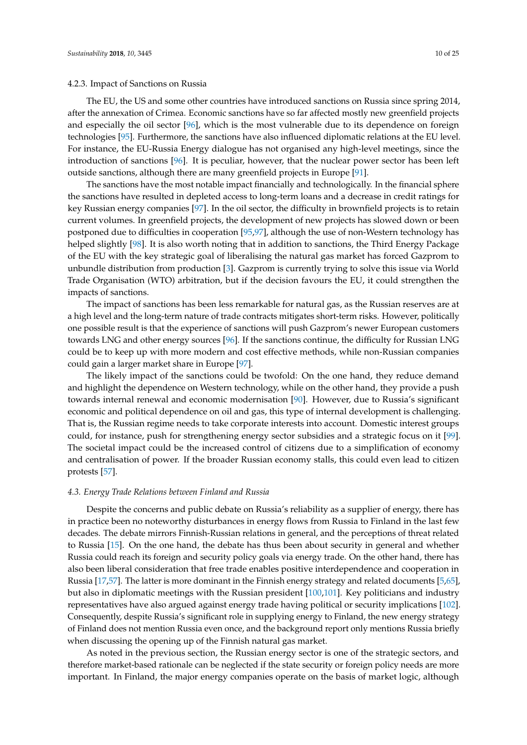#### <span id="page-9-1"></span>4.2.3. Impact of Sanctions on Russia

The EU, the US and some other countries have introduced sanctions on Russia since spring 2014, after the annexation of Crimea. Economic sanctions have so far affected mostly new greenfield projects and especially the oil sector [\[96\]](#page-22-9), which is the most vulnerable due to its dependence on foreign technologies [\[95\]](#page-22-8). Furthermore, the sanctions have also influenced diplomatic relations at the EU level. For instance, the EU-Russia Energy dialogue has not organised any high-level meetings, since the introduction of sanctions [\[96\]](#page-22-9). It is peculiar, however, that the nuclear power sector has been left outside sanctions, although there are many greenfield projects in Europe [\[91\]](#page-22-4).

The sanctions have the most notable impact financially and technologically. In the financial sphere the sanctions have resulted in depleted access to long-term loans and a decrease in credit ratings for key Russian energy companies [\[97\]](#page-22-10). In the oil sector, the difficulty in brownfield projects is to retain current volumes. In greenfield projects, the development of new projects has slowed down or been postponed due to difficulties in cooperation [\[95,](#page-22-8)[97\]](#page-22-10), although the use of non-Western technology has helped slightly [\[98\]](#page-22-11). It is also worth noting that in addition to sanctions, the Third Energy Package of the EU with the key strategic goal of liberalising the natural gas market has forced Gazprom to unbundle distribution from production [\[3\]](#page-18-2). Gazprom is currently trying to solve this issue via World Trade Organisation (WTO) arbitration, but if the decision favours the EU, it could strengthen the impacts of sanctions.

The impact of sanctions has been less remarkable for natural gas, as the Russian reserves are at a high level and the long-term nature of trade contracts mitigates short-term risks. However, politically one possible result is that the experience of sanctions will push Gazprom's newer European customers towards LNG and other energy sources [\[96\]](#page-22-9). If the sanctions continue, the difficulty for Russian LNG could be to keep up with more modern and cost effective methods, while non-Russian companies could gain a larger market share in Europe [\[97\]](#page-22-10).

The likely impact of the sanctions could be twofold: On the one hand, they reduce demand and highlight the dependence on Western technology, while on the other hand, they provide a push towards internal renewal and economic modernisation [\[90\]](#page-22-3). However, due to Russia's significant economic and political dependence on oil and gas, this type of internal development is challenging. That is, the Russian regime needs to take corporate interests into account. Domestic interest groups could, for instance, push for strengthening energy sector subsidies and a strategic focus on it [\[99\]](#page-22-12). The societal impact could be the increased control of citizens due to a simplification of economy and centralisation of power. If the broader Russian economy stalls, this could even lead to citizen protests [\[57\]](#page-20-21).

#### <span id="page-9-0"></span>*4.3. Energy Trade Relations between Finland and Russia*

Despite the concerns and public debate on Russia's reliability as a supplier of energy, there has in practice been no noteworthy disturbances in energy flows from Russia to Finland in the last few decades. The debate mirrors Finnish-Russian relations in general, and the perceptions of threat related to Russia [\[15\]](#page-19-2). On the one hand, the debate has thus been about security in general and whether Russia could reach its foreign and security policy goals via energy trade. On the other hand, there has also been liberal consideration that free trade enables positive interdependence and cooperation in Russia [\[17](#page-19-4)[,57\]](#page-20-21). The latter is more dominant in the Finnish energy strategy and related documents [\[5](#page-18-4)[,65\]](#page-21-4), but also in diplomatic meetings with the Russian president [\[100](#page-22-13)[,101\]](#page-22-14). Key politicians and industry representatives have also argued against energy trade having political or security implications [\[102\]](#page-22-15). Consequently, despite Russia's significant role in supplying energy to Finland, the new energy strategy of Finland does not mention Russia even once, and the background report only mentions Russia briefly when discussing the opening up of the Finnish natural gas market.

As noted in the previous section, the Russian energy sector is one of the strategic sectors, and therefore market-based rationale can be neglected if the state security or foreign policy needs are more important. In Finland, the major energy companies operate on the basis of market logic, although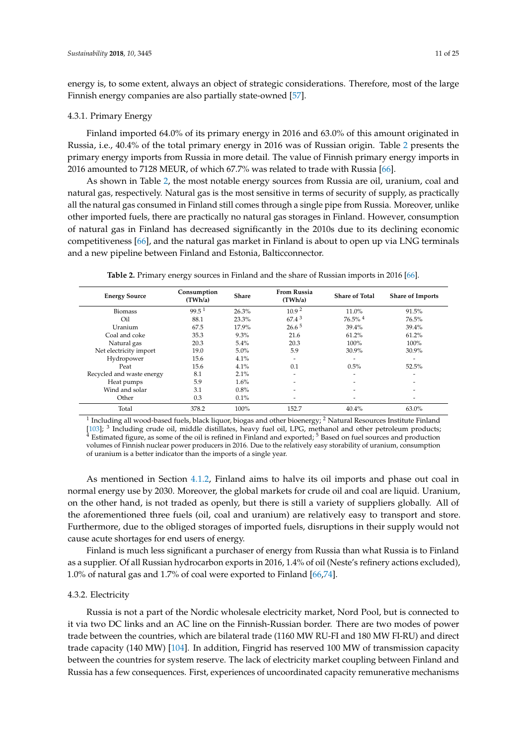energy is, to some extent, always an object of strategic considerations. Therefore, most of the large Finnish energy companies are also partially state-owned [\[57\]](#page-20-21).

#### <span id="page-10-0"></span>4.3.1. Primary Energy

Finland imported 64.0% of its primary energy in 2016 and 63.0% of this amount originated in Russia, i.e., 40.4% of the total primary energy in 2016 was of Russian origin. Table [2](#page-10-2) presents the primary energy imports from Russia in more detail. The value of Finnish primary energy imports in 2016 amounted to 7128 MEUR, of which 67.7% was related to trade with Russia [\[66\]](#page-21-5).

As shown in Table [2,](#page-10-2) the most notable energy sources from Russia are oil, uranium, coal and natural gas, respectively. Natural gas is the most sensitive in terms of security of supply, as practically all the natural gas consumed in Finland still comes through a single pipe from Russia. Moreover, unlike other imported fuels, there are practically no natural gas storages in Finland. However, consumption of natural gas in Finland has decreased significantly in the 2010s due to its declining economic competitiveness [\[66\]](#page-21-5), and the natural gas market in Finland is about to open up via LNG terminals and a new pipeline between Finland and Estonia, Balticconnector.

**Table 2.** Primary energy sources in Finland and the share of Russian imports in 2016 [\[66\]](#page-21-5).

<span id="page-10-2"></span>

| <b>Energy Source</b>      | Consumption<br>(TWh/a) | <b>Share</b> | <b>From Russia</b><br>(TWh/a) | <b>Share of Total</b> | <b>Share of Imports</b> |
|---------------------------|------------------------|--------------|-------------------------------|-----------------------|-------------------------|
| <b>Biomass</b>            | $99.5^{\text{1}}$      | 26.3%        | 10.9 <sup>2</sup>             | 11.0%                 | 91.5%                   |
| Oil                       | 88.1                   | 23.3%        | $67.4^3$                      | $76.5\%$ <sup>4</sup> | 76.5%                   |
| Uranium                   | 67.5                   | 17.9%        | $26.6^{5}$                    | 39.4%                 | 39.4%                   |
| Coal and coke             | 35.3                   | 9.3%         | 21.6                          | 61.2%                 | 61.2%                   |
| Natural gas               | 20.3                   | 5.4%         | 20.3                          | 100%                  | 100%                    |
| Net electricity import    | 19.0                   | $5.0\%$      | 5.9                           | $30.9\%$              | 30.9%                   |
| Hydropower                | 15.6                   | 4.1%         |                               |                       |                         |
| Peat                      | 15.6                   | 4.1%         | 0.1                           | 0.5%                  | 52.5%                   |
| Recycled and waste energy | 8.1                    | 2.1%         |                               | ۰                     | ۰                       |
| Heat pumps                | 5.9                    | 1.6%         |                               |                       |                         |
| Wind and solar            | 3.1                    | 0.8%         |                               |                       |                         |
| Other                     | 0.3                    | 0.1%         |                               |                       |                         |
| Total                     | 378.2                  | 100%         | 152.7                         | 40.4%                 | 63.0%                   |

 $^{\rm 1}$  Including all wood-based fuels, black liquor, biogas and other bioenergy;  $^{\rm 2}$  Natural Resources Institute Finland [\[103\]](#page-22-16); <sup>3</sup> Including crude oil, middle distillates, heavy fuel oil, LPG, methanol and other petroleum products; <sup>4</sup> Estimated figure, as some of the oil is refined in Finland and exported; <sup>5</sup> Based on fuel sources and production volumes of Finnish nuclear power producers in 2016. Due to the relatively easy storability of uranium, consumption of uranium is a better indicator than the imports of a single year.

As mentioned in Section [4.1.2,](#page-6-0) Finland aims to halve its oil imports and phase out coal in normal energy use by 2030. Moreover, the global markets for crude oil and coal are liquid. Uranium, on the other hand, is not traded as openly, but there is still a variety of suppliers globally. All of the aforementioned three fuels (oil, coal and uranium) are relatively easy to transport and store. Furthermore, due to the obliged storages of imported fuels, disruptions in their supply would not cause acute shortages for end users of energy.

Finland is much less significant a purchaser of energy from Russia than what Russia is to Finland as a supplier. Of all Russian hydrocarbon exports in 2016, 1.4% of oil (Neste's refinery actions excluded), 1.0% of natural gas and 1.7% of coal were exported to Finland [\[66,](#page-21-5)[74\]](#page-21-13).

#### <span id="page-10-1"></span>4.3.2. Electricity

Russia is not a part of the Nordic wholesale electricity market, Nord Pool, but is connected to it via two DC links and an AC line on the Finnish-Russian border. There are two modes of power trade between the countries, which are bilateral trade (1160 MW RU-FI and 180 MW FI-RU) and direct trade capacity (140 MW) [\[104\]](#page-22-17). In addition, Fingrid has reserved 100 MW of transmission capacity between the countries for system reserve. The lack of electricity market coupling between Finland and Russia has a few consequences. First, experiences of uncoordinated capacity remunerative mechanisms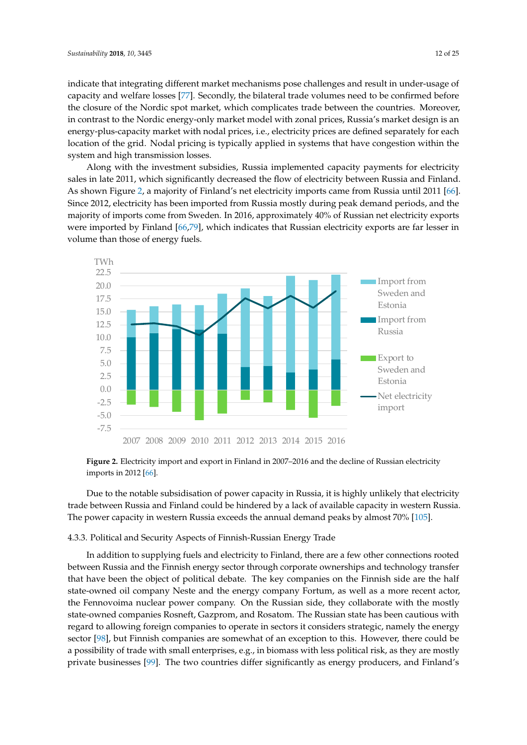indicate that integrating different market mechanisms pose challenges and result in under-usage of capacity and welfare losses [\[77\]](#page-21-16). Secondly, the bilateral trade volumes need to be confirmed before the closure of the Nordic spot market, which complicates trade between the countries. Moreover, in contrast to the Nordic energy-only market model with zonal prices, Russia's market design is an energy-plus-capacity market with nodal prices, i.e., electricity prices are defined separately for each location of the grid. Nodal pricing is typically applied in systems that have congestion within the system and high transmission losses.

Along with the investment subsidies, Russia implemented capacity payments for electricity sales in late 2011, which significantly decreased the flow of electricity between Russia and Finland. As shown Figure 2, a majority of Finland's net electricity imports came from Russia until 2011 [\[66\]](#page-21-5). Since 2012, electricity has been imported from Russia mostly during peak demand periods, and the 2012, electricity has been imported from Russia mostly during peak demand periods, and the majority of imports come from Sweden. In 2016, approximately 40% of Russian net electricity exports majority of imports come from Sweden. In 2016, approximately 40% of Russian net electricity exports were imported by Finland [66,79], which indicates that Russian electricity exports are far lesser in were imported by Finland [\[6](#page-21-5)[6,79](#page-21-18)], which indicates that Russian electricity exports are far lesser in volume than those of energy fuels. volume than those of energy fuels.

<span id="page-11-0"></span>

**Figure 2.** Electricity import and export in Finland in 2007–2016 and the decline of Russian electricity **Figure 2.** Electricity import and export in Finland in 2007–2016 and the decline of Russian electricity imports in 201[2 \[66](#page-21-5)]. imports in 2012 [66].

Due to the notable subsidisation of power capacity in Russia, it is highly unlikely that electricity Due to the notable subsidisation of power capacity in Russia, it is highly unlikely that electricity trade between Russia and Finland could be hindered by a lack of available capacity in western Russia. trade between Russia and Finland could be hindered by a lack of available capacity in western Russia. The power capacity in western Russia exceeds the annual demand peaks by almost 70% [105]. The power capacity in western Russia exceeds the annual demand peaks by almost 70% [\[105\]](#page-22-18).

# 4.3.3. Political and Security Aspects of Finnish-Russian Energy Trade 4.3.3. Political and Security Aspects of Finnish-Russian Energy Trade

In addition to supplying fuels and electricity to Finland, there are a few other connections rooted In addition to supplying fuels and electricity to Finland, there are a few other connections rooted between Russia and the Finnish energy sector through corporate ownerships and technology transfer between Russia and the Finnish energy sector through corporate ownerships and technology transfer that have been the object of political debate. The key companies on the Finnish side are the half state-owned oil company Neste and the energy company Fortum, as well as a more recent actor, the Fennovoima nuclear power company. On the Russian side, they collaborate with the mostly state-owned companies Rosneft, Gazprom, and Rosatom. The Russian state has been cautious with regard to allowing foreign companies to operate in sectors it considers strategic, namely the energy sector [\[98\]](#page-22-11), but Finnish companies are somewhat of an exception to this. However, there could be possibility of trade with small enterprises, e.g., in biomass with less political risk, as they are mostly a possibility of trade with small enterprises, e.g., in biomass with less political risk, as they are mostly private businesses [99]. The two countries differ significantly as energy producers, and Finland's private businesses [\[99\]](#page-22-12). The two countries differ significantly as energy producers, and Finland's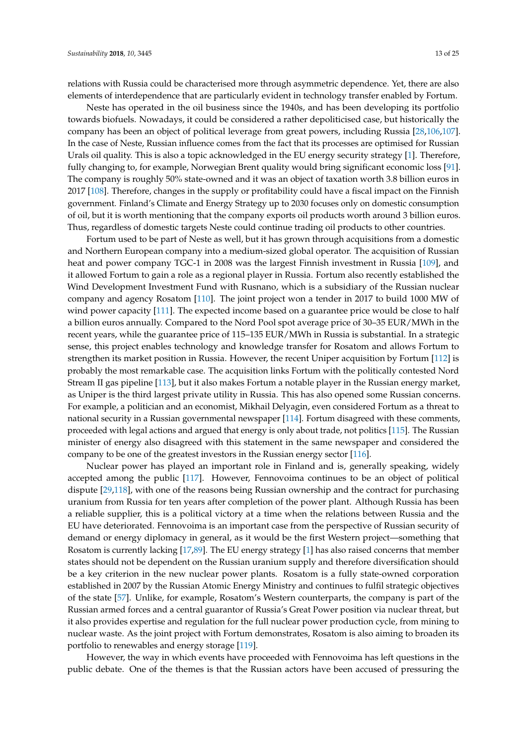relations with Russia could be characterised more through asymmetric dependence. Yet, there are also elements of interdependence that are particularly evident in technology transfer enabled by Fortum.

Neste has operated in the oil business since the 1940s, and has been developing its portfolio towards biofuels. Nowadays, it could be considered a rather depoliticised case, but historically the company has been an object of political leverage from great powers, including Russia [\[28,](#page-19-15)[106,](#page-22-19)[107\]](#page-22-20). In the case of Neste, Russian influence comes from the fact that its processes are optimised for Russian Urals oil quality. This is also a topic acknowledged in the EU energy security strategy [\[1\]](#page-18-0). Therefore, fully changing to, for example, Norwegian Brent quality would bring significant economic loss [\[91\]](#page-22-4). The company is roughly 50% state-owned and it was an object of taxation worth 3.8 billion euros in 2017 [\[108\]](#page-23-0). Therefore, changes in the supply or profitability could have a fiscal impact on the Finnish government. Finland's Climate and Energy Strategy up to 2030 focuses only on domestic consumption of oil, but it is worth mentioning that the company exports oil products worth around 3 billion euros. Thus, regardless of domestic targets Neste could continue trading oil products to other countries.

Fortum used to be part of Neste as well, but it has grown through acquisitions from a domestic and Northern European company into a medium-sized global operator. The acquisition of Russian heat and power company TGC-1 in 2008 was the largest Finnish investment in Russia [\[109\]](#page-23-1), and it allowed Fortum to gain a role as a regional player in Russia. Fortum also recently established the Wind Development Investment Fund with Rusnano, which is a subsidiary of the Russian nuclear company and agency Rosatom [\[110\]](#page-23-2). The joint project won a tender in 2017 to build 1000 MW of wind power capacity [\[111\]](#page-23-3). The expected income based on a guarantee price would be close to half a billion euros annually. Compared to the Nord Pool spot average price of 30–35 EUR/MWh in the recent years, while the guarantee price of 115–135 EUR/MWh in Russia is substantial. In a strategic sense, this project enables technology and knowledge transfer for Rosatom and allows Fortum to strengthen its market position in Russia. However, the recent Uniper acquisition by Fortum [\[112\]](#page-23-4) is probably the most remarkable case. The acquisition links Fortum with the politically contested Nord Stream II gas pipeline [\[113\]](#page-23-5), but it also makes Fortum a notable player in the Russian energy market, as Uniper is the third largest private utility in Russia. This has also opened some Russian concerns. For example, a politician and an economist, Mikhail Delyagin, even considered Fortum as a threat to national security in a Russian governmental newspaper [\[114\]](#page-23-6). Fortum disagreed with these comments, proceeded with legal actions and argued that energy is only about trade, not politics [\[115\]](#page-23-7). The Russian minister of energy also disagreed with this statement in the same newspaper and considered the company to be one of the greatest investors in the Russian energy sector [\[116\]](#page-23-8).

Nuclear power has played an important role in Finland and is, generally speaking, widely accepted among the public [\[117\]](#page-23-9). However, Fennovoima continues to be an object of political dispute [\[29](#page-19-16)[,118\]](#page-23-10), with one of the reasons being Russian ownership and the contract for purchasing uranium from Russia for ten years after completion of the power plant. Although Russia has been a reliable supplier, this is a political victory at a time when the relations between Russia and the EU have deteriorated. Fennovoima is an important case from the perspective of Russian security of demand or energy diplomacy in general, as it would be the first Western project—something that Rosatom is currently lacking [\[17](#page-19-4)[,89\]](#page-22-21). The EU energy strategy [\[1\]](#page-18-0) has also raised concerns that member states should not be dependent on the Russian uranium supply and therefore diversification should be a key criterion in the new nuclear power plants. Rosatom is a fully state-owned corporation established in 2007 by the Russian Atomic Energy Ministry and continues to fulfil strategic objectives of the state [\[57\]](#page-20-21). Unlike, for example, Rosatom's Western counterparts, the company is part of the Russian armed forces and a central guarantor of Russia's Great Power position via nuclear threat, but it also provides expertise and regulation for the full nuclear power production cycle, from mining to nuclear waste. As the joint project with Fortum demonstrates, Rosatom is also aiming to broaden its portfolio to renewables and energy storage [\[119\]](#page-23-11).

However, the way in which events have proceeded with Fennovoima has left questions in the public debate. One of the themes is that the Russian actors have been accused of pressuring the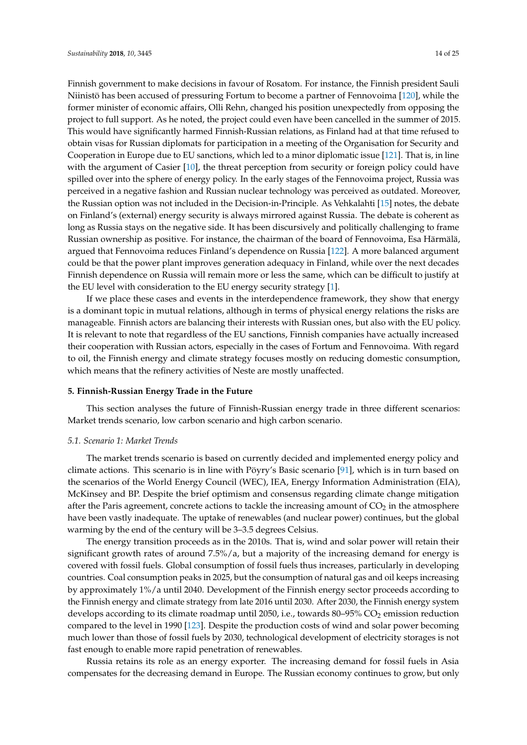Finnish government to make decisions in favour of Rosatom. For instance, the Finnish president Sauli Niinistö has been accused of pressuring Fortum to become a partner of Fennovoima [\[120\]](#page-23-12), while the former minister of economic affairs, Olli Rehn, changed his position unexpectedly from opposing the project to full support. As he noted, the project could even have been cancelled in the summer of 2015. This would have significantly harmed Finnish-Russian relations, as Finland had at that time refused to obtain visas for Russian diplomats for participation in a meeting of the Organisation for Security and Cooperation in Europe due to EU sanctions, which led to a minor diplomatic issue [\[121\]](#page-23-13). That is, in line with the argument of Casier [\[10\]](#page-18-8), the threat perception from security or foreign policy could have spilled over into the sphere of energy policy. In the early stages of the Fennovoima project, Russia was perceived in a negative fashion and Russian nuclear technology was perceived as outdated. Moreover, the Russian option was not included in the Decision-in-Principle. As Vehkalahti [\[15\]](#page-19-2) notes, the debate on Finland's (external) energy security is always mirrored against Russia. The debate is coherent as long as Russia stays on the negative side. It has been discursively and politically challenging to frame Russian ownership as positive. For instance, the chairman of the board of Fennovoima, Esa Härmälä, argued that Fennovoima reduces Finland's dependence on Russia [\[122\]](#page-23-14). A more balanced argument could be that the power plant improves generation adequacy in Finland, while over the next decades Finnish dependence on Russia will remain more or less the same, which can be difficult to justify at the EU level with consideration to the EU energy security strategy [\[1\]](#page-18-0).

If we place these cases and events in the interdependence framework, they show that energy is a dominant topic in mutual relations, although in terms of physical energy relations the risks are manageable. Finnish actors are balancing their interests with Russian ones, but also with the EU policy. It is relevant to note that regardless of the EU sanctions, Finnish companies have actually increased their cooperation with Russian actors, especially in the cases of Fortum and Fennovoima. With regard to oil, the Finnish energy and climate strategy focuses mostly on reducing domestic consumption, which means that the refinery activities of Neste are mostly unaffected.

#### <span id="page-13-0"></span>**5. Finnish-Russian Energy Trade in the Future**

This section analyses the future of Finnish-Russian energy trade in three different scenarios: Market trends scenario, low carbon scenario and high carbon scenario.

#### *5.1. Scenario 1: Market Trends*

The market trends scenario is based on currently decided and implemented energy policy and climate actions. This scenario is in line with Pöyry's Basic scenario [\[91\]](#page-22-4), which is in turn based on the scenarios of the World Energy Council (WEC), IEA, Energy Information Administration (EIA), McKinsey and BP. Despite the brief optimism and consensus regarding climate change mitigation after the Paris agreement, concrete actions to tackle the increasing amount of  $CO<sub>2</sub>$  in the atmosphere have been vastly inadequate. The uptake of renewables (and nuclear power) continues, but the global warming by the end of the century will be 3–3.5 degrees Celsius.

The energy transition proceeds as in the 2010s. That is, wind and solar power will retain their significant growth rates of around 7.5%/a, but a majority of the increasing demand for energy is covered with fossil fuels. Global consumption of fossil fuels thus increases, particularly in developing countries. Coal consumption peaks in 2025, but the consumption of natural gas and oil keeps increasing by approximately 1%/a until 2040. Development of the Finnish energy sector proceeds according to the Finnish energy and climate strategy from late 2016 until 2030. After 2030, the Finnish energy system develops according to its climate roadmap until 2050, i.e., towards  $80-95\%$  CO<sub>2</sub> emission reduction compared to the level in 1990 [\[123\]](#page-23-15). Despite the production costs of wind and solar power becoming much lower than those of fossil fuels by 2030, technological development of electricity storages is not fast enough to enable more rapid penetration of renewables.

Russia retains its role as an energy exporter. The increasing demand for fossil fuels in Asia compensates for the decreasing demand in Europe. The Russian economy continues to grow, but only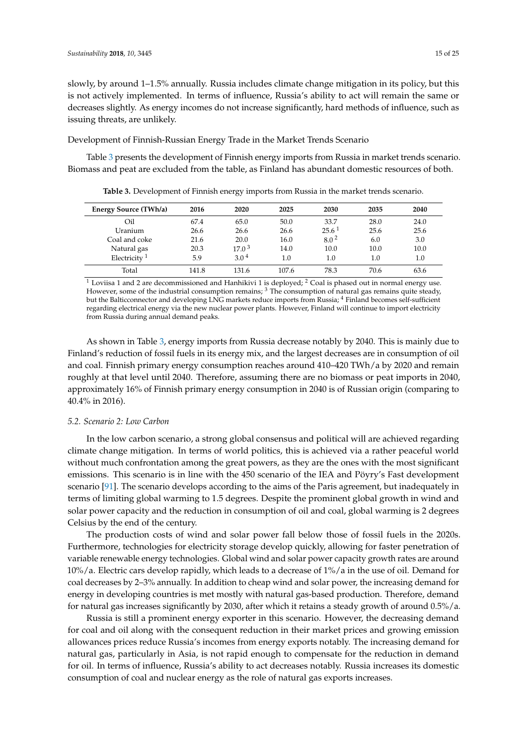slowly, by around 1–1.5% annually. Russia includes climate change mitigation in its policy, but this is not actively implemented. In terms of influence, Russia's ability to act will remain the same or decreases slightly. As energy incomes do not increase significantly, hard methods of influence, such as issuing threats, are unlikely.

Development of Finnish-Russian Energy Trade in the Market Trends Scenario

<span id="page-14-0"></span>Table [3](#page-14-0) presents the development of Finnish energy imports from Russia in market trends scenario. Biomass and peat are excluded from the table, as Finland has abundant domestic resources of both.

| <b>Energy Source (TWh/a)</b> | 2016  | 2020              | 2025  | 2030              | 2035 | 2040 |
|------------------------------|-------|-------------------|-------|-------------------|------|------|
| Oil                          | 67.4  | 65.0              | 50.0  | 33.7              | 28.0 | 24.0 |
| Uranium                      | 26.6  | 26.6              | 26.6  | 25.6 <sup>1</sup> | 25.6 | 25.6 |
| Coal and coke                | 21.6  | 20.0              | 16.0  | 8.0 <sup>2</sup>  | 6.0  | 3.0  |
| Natural gas                  | 20.3  | 17.0 <sup>3</sup> | 14.0  | 10.0              | 10.0 | 10.0 |
| Electricity <sup>1</sup>     | 5.9   | 3.0 <sup>4</sup>  | 1.0   | $1.0\,$           | 1.0  | 1.0  |
| Total                        | 141.8 | 131.6             | 107.6 | 78.3              | 70.6 | 63.6 |

**Table 3.** Development of Finnish energy imports from Russia in the market trends scenario.

 $1$  Loviisa 1 and 2 are decommissioned and Hanhikivi 1 is deployed; <sup>2</sup> Coal is phased out in normal energy use. However, some of the industrial consumption remains; <sup>3</sup> The consumption of natural gas remains quite steady, but the Balticconnector and developing LNG markets reduce imports from Russia; <sup>4</sup> Finland becomes self-sufficient regarding electrical energy via the new nuclear power plants. However, Finland will continue to import electricity from Russia during annual demand peaks.

As shown in Table [3,](#page-14-0) energy imports from Russia decrease notably by 2040. This is mainly due to Finland's reduction of fossil fuels in its energy mix, and the largest decreases are in consumption of oil and coal. Finnish primary energy consumption reaches around 410–420 TWh/a by 2020 and remain roughly at that level until 2040. Therefore, assuming there are no biomass or peat imports in 2040, approximately 16% of Finnish primary energy consumption in 2040 is of Russian origin (comparing to 40.4% in 2016).

#### *5.2. Scenario 2: Low Carbon*

In the low carbon scenario, a strong global consensus and political will are achieved regarding climate change mitigation. In terms of world politics, this is achieved via a rather peaceful world without much confrontation among the great powers, as they are the ones with the most significant emissions. This scenario is in line with the 450 scenario of the IEA and Pöyry's Fast development scenario [\[91\]](#page-22-4). The scenario develops according to the aims of the Paris agreement, but inadequately in terms of limiting global warming to 1.5 degrees. Despite the prominent global growth in wind and solar power capacity and the reduction in consumption of oil and coal, global warming is 2 degrees Celsius by the end of the century.

The production costs of wind and solar power fall below those of fossil fuels in the 2020s. Furthermore, technologies for electricity storage develop quickly, allowing for faster penetration of variable renewable energy technologies. Global wind and solar power capacity growth rates are around 10%/a. Electric cars develop rapidly, which leads to a decrease of 1%/a in the use of oil. Demand for coal decreases by 2–3% annually. In addition to cheap wind and solar power, the increasing demand for energy in developing countries is met mostly with natural gas-based production. Therefore, demand for natural gas increases significantly by 2030, after which it retains a steady growth of around 0.5%/a.

Russia is still a prominent energy exporter in this scenario. However, the decreasing demand for coal and oil along with the consequent reduction in their market prices and growing emission allowances prices reduce Russia's incomes from energy exports notably. The increasing demand for natural gas, particularly in Asia, is not rapid enough to compensate for the reduction in demand for oil. In terms of influence, Russia's ability to act decreases notably. Russia increases its domestic consumption of coal and nuclear energy as the role of natural gas exports increases.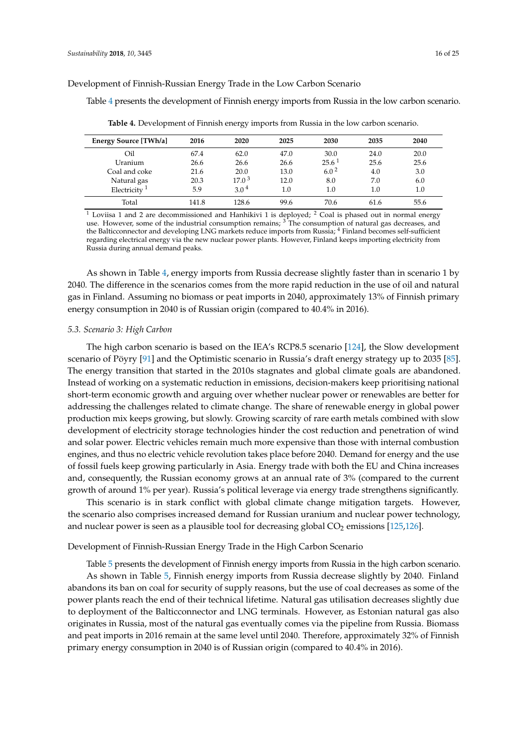Development of Finnish-Russian Energy Trade in the Low Carbon Scenario

<span id="page-15-0"></span>Table [4](#page-15-0) presents the development of Finnish energy imports from Russia in the low carbon scenario.

| <b>Energy Source [TWh/a]</b> | 2016  | 2020              | 2025 | 2030              | 2035 | 2040 |
|------------------------------|-------|-------------------|------|-------------------|------|------|
| Oil                          | 67.4  | 62.0              | 47.0 | 30.0              | 24.0 | 20.0 |
| Uranium                      | 26.6  | 26.6              | 26.6 | $25.6^{\text{1}}$ | 25.6 | 25.6 |
| Coal and coke                | 21.6  | 20.0              | 13.0 | 6.0 <sup>2</sup>  | 4.0  | 3.0  |
| Natural gas                  | 20.3  | 17.0 <sup>3</sup> | 12.0 | 8.0               | 7.0  | 6.0  |
| Electricity <sup>1</sup>     | 5.9   | 3.0 <sup>4</sup>  | 1.0  | 1.0               | 1.0  | 1.0  |
| Total                        | 141.8 | 128.6             | 99.6 | 70.6              | 61.6 | 55.6 |

**Table 4.** Development of Finnish energy imports from Russia in the low carbon scenario.

 $1$  Loviisa 1 and 2 are decommissioned and Hanhikivi 1 is deployed;  $2$  Coal is phased out in normal energy use. However, some of the industrial consumption remains; <sup>3</sup> The consumption of natural gas decreases, and the Balticconnector and developing LNG markets reduce imports from Russia; <sup>4</sup> Finland becomes self-sufficient regarding electrical energy via the new nuclear power plants. However, Finland keeps importing electricity from Russia during annual demand peaks.

As shown in Table [4,](#page-15-0) energy imports from Russia decrease slightly faster than in scenario 1 by 2040. The difference in the scenarios comes from the more rapid reduction in the use of oil and natural gas in Finland. Assuming no biomass or peat imports in 2040, approximately 13% of Finnish primary energy consumption in 2040 is of Russian origin (compared to 40.4% in 2016).

#### *5.3. Scenario 3: High Carbon*

The high carbon scenario is based on the IEA's RCP8.5 scenario [\[124\]](#page-23-16), the Slow development scenario of Pöyry [\[91\]](#page-22-4) and the Optimistic scenario in Russia's draft energy strategy up to 2035 [\[85\]](#page-21-24). The energy transition that started in the 2010s stagnates and global climate goals are abandoned. Instead of working on a systematic reduction in emissions, decision-makers keep prioritising national short-term economic growth and arguing over whether nuclear power or renewables are better for addressing the challenges related to climate change. The share of renewable energy in global power production mix keeps growing, but slowly. Growing scarcity of rare earth metals combined with slow development of electricity storage technologies hinder the cost reduction and penetration of wind and solar power. Electric vehicles remain much more expensive than those with internal combustion engines, and thus no electric vehicle revolution takes place before 2040. Demand for energy and the use of fossil fuels keep growing particularly in Asia. Energy trade with both the EU and China increases and, consequently, the Russian economy grows at an annual rate of 3% (compared to the current growth of around 1% per year). Russia's political leverage via energy trade strengthens significantly.

This scenario is in stark conflict with global climate change mitigation targets. However, the scenario also comprises increased demand for Russian uranium and nuclear power technology, and nuclear power is seen as a plausible tool for decreasing global  $CO<sub>2</sub>$  emissions [\[125,](#page-23-17)[126\]](#page-23-18).

#### Development of Finnish-Russian Energy Trade in the High Carbon Scenario

Table [5](#page-16-1) presents the development of Finnish energy imports from Russia in the high carbon scenario.

As shown in Table [5,](#page-16-1) Finnish energy imports from Russia decrease slightly by 2040. Finland abandons its ban on coal for security of supply reasons, but the use of coal decreases as some of the power plants reach the end of their technical lifetime. Natural gas utilisation decreases slightly due to deployment of the Balticconnector and LNG terminals. However, as Estonian natural gas also originates in Russia, most of the natural gas eventually comes via the pipeline from Russia. Biomass and peat imports in 2016 remain at the same level until 2040. Therefore, approximately 32% of Finnish primary energy consumption in 2040 is of Russian origin (compared to 40.4% in 2016).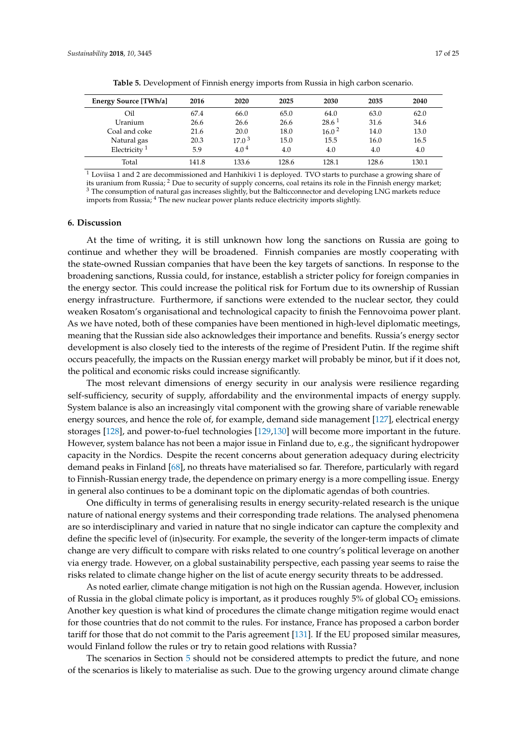| ÷<br>- 1 | ΩŤ |  |
|----------|----|--|
|          |    |  |

<span id="page-16-1"></span>

| <b>Energy Source [TWh/a]</b> | 2016  | 2020              | 2025  | 2030              | 2035  | 2040  |
|------------------------------|-------|-------------------|-------|-------------------|-------|-------|
| Oil                          | 67.4  | 66.0              | 65.0  | 64.0              | 63.0  | 62.0  |
| Uranium                      | 26.6  | 26.6              | 26.6  | $28.6^{\text{1}}$ | 31.6  | 34.6  |
| Coal and coke                | 21.6  | 20.0              | 18.0  | 16.0 <sup>2</sup> | 14.0  | 13.0  |
| Natural gas                  | 20.3  | 17.0 <sup>3</sup> | 15.0  | 15.5              | 16.0  | 16.5  |
| Electricity <sup>1</sup>     | 5.9   | $4.0^{\,4}$       | 4.0   | 4.0               | 4.0   | 4.0   |
| Total                        | 141.8 | 133.6             | 128.6 | 128.1             | 128.6 | 130.1 |

**Table 5.** Development of Finnish energy imports from Russia in high carbon scenario.

<sup>1</sup> Loviisa 1 and 2 are decommissioned and Hanhikivi 1 is deployed. TVO starts to purchase a growing share of its uranium from Russia; <sup>2</sup> Due to security of supply concerns, coal retains its role in the Finnish energy market;  $^3$  The consumption of natural gas increases slightly, but the Balticconnector and developing LNG markets reduce imports from Russia; <sup>4</sup> The new nuclear power plants reduce electricity imports slightly.

#### <span id="page-16-0"></span>**6. Discussion**

At the time of writing, it is still unknown how long the sanctions on Russia are going to continue and whether they will be broadened. Finnish companies are mostly cooperating with the state-owned Russian companies that have been the key targets of sanctions. In response to the broadening sanctions, Russia could, for instance, establish a stricter policy for foreign companies in the energy sector. This could increase the political risk for Fortum due to its ownership of Russian energy infrastructure. Furthermore, if sanctions were extended to the nuclear sector, they could weaken Rosatom's organisational and technological capacity to finish the Fennovoima power plant. As we have noted, both of these companies have been mentioned in high-level diplomatic meetings, meaning that the Russian side also acknowledges their importance and benefits. Russia's energy sector development is also closely tied to the interests of the regime of President Putin. If the regime shift occurs peacefully, the impacts on the Russian energy market will probably be minor, but if it does not, the political and economic risks could increase significantly.

The most relevant dimensions of energy security in our analysis were resilience regarding self-sufficiency, security of supply, affordability and the environmental impacts of energy supply. System balance is also an increasingly vital component with the growing share of variable renewable energy sources, and hence the role of, for example, demand side management [\[127\]](#page-23-19), electrical energy storages [\[128\]](#page-24-0), and power-to-fuel technologies [\[129,](#page-24-1)[130\]](#page-24-2) will become more important in the future. However, system balance has not been a major issue in Finland due to, e.g., the significant hydropower capacity in the Nordics. Despite the recent concerns about generation adequacy during electricity demand peaks in Finland [\[68\]](#page-21-7), no threats have materialised so far. Therefore, particularly with regard to Finnish-Russian energy trade, the dependence on primary energy is a more compelling issue. Energy in general also continues to be a dominant topic on the diplomatic agendas of both countries.

One difficulty in terms of generalising results in energy security-related research is the unique nature of national energy systems and their corresponding trade relations. The analysed phenomena are so interdisciplinary and varied in nature that no single indicator can capture the complexity and define the specific level of (in)security. For example, the severity of the longer-term impacts of climate change are very difficult to compare with risks related to one country's political leverage on another via energy trade. However, on a global sustainability perspective, each passing year seems to raise the risks related to climate change higher on the list of acute energy security threats to be addressed.

As noted earlier, climate change mitigation is not high on the Russian agenda. However, inclusion of Russia in the global climate policy is important, as it produces roughly 5% of global CO<sub>2</sub> emissions. Another key question is what kind of procedures the climate change mitigation regime would enact for those countries that do not commit to the rules. For instance, France has proposed a carbon border tariff for those that do not commit to the Paris agreement [\[131\]](#page-24-3). If the EU proposed similar measures, would Finland follow the rules or try to retain good relations with Russia?

The scenarios in Section [5](#page-13-0) should not be considered attempts to predict the future, and none of the scenarios is likely to materialise as such. Due to the growing urgency around climate change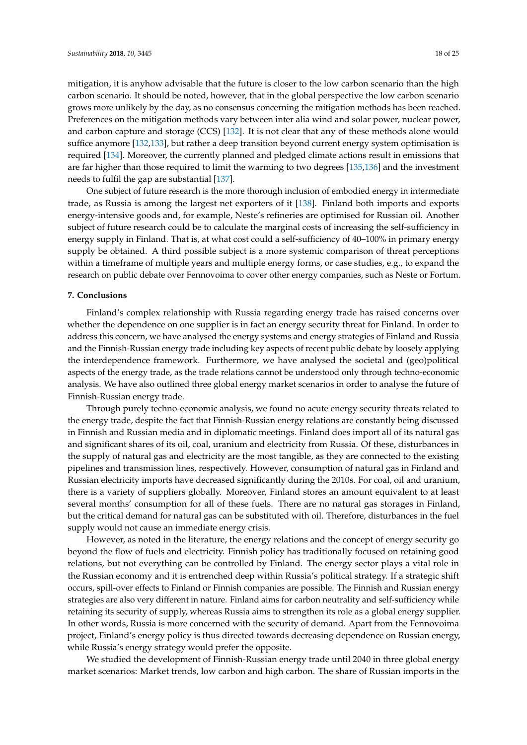mitigation, it is anyhow advisable that the future is closer to the low carbon scenario than the high carbon scenario. It should be noted, however, that in the global perspective the low carbon scenario grows more unlikely by the day, as no consensus concerning the mitigation methods has been reached. Preferences on the mitigation methods vary between inter alia wind and solar power, nuclear power, and carbon capture and storage (CCS) [\[132\]](#page-24-4). It is not clear that any of these methods alone would suffice anymore [\[132,](#page-24-4)[133\]](#page-24-5), but rather a deep transition beyond current energy system optimisation is required [\[134\]](#page-24-6). Moreover, the currently planned and pledged climate actions result in emissions that are far higher than those required to limit the warming to two degrees [\[135,](#page-24-7)[136\]](#page-24-8) and the investment needs to fulfil the gap are substantial [\[137\]](#page-24-9).

One subject of future research is the more thorough inclusion of embodied energy in intermediate trade, as Russia is among the largest net exporters of it [\[138\]](#page-24-10). Finland both imports and exports energy-intensive goods and, for example, Neste's refineries are optimised for Russian oil. Another subject of future research could be to calculate the marginal costs of increasing the self-sufficiency in energy supply in Finland. That is, at what cost could a self-sufficiency of 40–100% in primary energy supply be obtained. A third possible subject is a more systemic comparison of threat perceptions within a timeframe of multiple years and multiple energy forms, or case studies, e.g., to expand the research on public debate over Fennovoima to cover other energy companies, such as Neste or Fortum.

#### <span id="page-17-0"></span>**7. Conclusions**

Finland's complex relationship with Russia regarding energy trade has raised concerns over whether the dependence on one supplier is in fact an energy security threat for Finland. In order to address this concern, we have analysed the energy systems and energy strategies of Finland and Russia and the Finnish-Russian energy trade including key aspects of recent public debate by loosely applying the interdependence framework. Furthermore, we have analysed the societal and (geo)political aspects of the energy trade, as the trade relations cannot be understood only through techno-economic analysis. We have also outlined three global energy market scenarios in order to analyse the future of Finnish-Russian energy trade.

Through purely techno-economic analysis, we found no acute energy security threats related to the energy trade, despite the fact that Finnish-Russian energy relations are constantly being discussed in Finnish and Russian media and in diplomatic meetings. Finland does import all of its natural gas and significant shares of its oil, coal, uranium and electricity from Russia. Of these, disturbances in the supply of natural gas and electricity are the most tangible, as they are connected to the existing pipelines and transmission lines, respectively. However, consumption of natural gas in Finland and Russian electricity imports have decreased significantly during the 2010s. For coal, oil and uranium, there is a variety of suppliers globally. Moreover, Finland stores an amount equivalent to at least several months' consumption for all of these fuels. There are no natural gas storages in Finland, but the critical demand for natural gas can be substituted with oil. Therefore, disturbances in the fuel supply would not cause an immediate energy crisis.

However, as noted in the literature, the energy relations and the concept of energy security go beyond the flow of fuels and electricity. Finnish policy has traditionally focused on retaining good relations, but not everything can be controlled by Finland. The energy sector plays a vital role in the Russian economy and it is entrenched deep within Russia's political strategy. If a strategic shift occurs, spill-over effects to Finland or Finnish companies are possible. The Finnish and Russian energy strategies are also very different in nature. Finland aims for carbon neutrality and self-sufficiency while retaining its security of supply, whereas Russia aims to strengthen its role as a global energy supplier. In other words, Russia is more concerned with the security of demand. Apart from the Fennovoima project, Finland's energy policy is thus directed towards decreasing dependence on Russian energy, while Russia's energy strategy would prefer the opposite.

We studied the development of Finnish-Russian energy trade until 2040 in three global energy market scenarios: Market trends, low carbon and high carbon. The share of Russian imports in the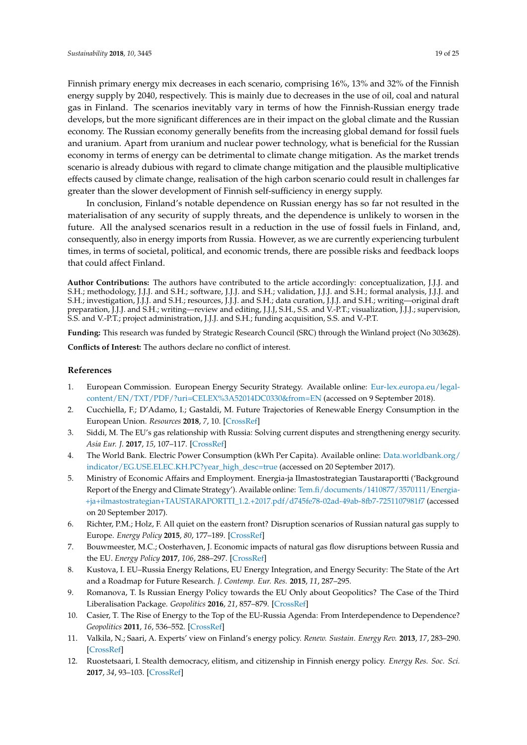Finnish primary energy mix decreases in each scenario, comprising 16%, 13% and 32% of the Finnish energy supply by 2040, respectively. This is mainly due to decreases in the use of oil, coal and natural gas in Finland. The scenarios inevitably vary in terms of how the Finnish-Russian energy trade develops, but the more significant differences are in their impact on the global climate and the Russian economy. The Russian economy generally benefits from the increasing global demand for fossil fuels and uranium. Apart from uranium and nuclear power technology, what is beneficial for the Russian economy in terms of energy can be detrimental to climate change mitigation. As the market trends scenario is already dubious with regard to climate change mitigation and the plausible multiplicative effects caused by climate change, realisation of the high carbon scenario could result in challenges far greater than the slower development of Finnish self-sufficiency in energy supply.

In conclusion, Finland's notable dependence on Russian energy has so far not resulted in the materialisation of any security of supply threats, and the dependence is unlikely to worsen in the future. All the analysed scenarios result in a reduction in the use of fossil fuels in Finland, and, consequently, also in energy imports from Russia. However, as we are currently experiencing turbulent times, in terms of societal, political, and economic trends, there are possible risks and feedback loops that could affect Finland.

**Author Contributions:** The authors have contributed to the article accordingly: conceptualization, J.J.J. and S.H.; methodology, J.J.J. and S.H.; software, J.J.J. and S.H.; validation, J.J.J. and S.H.; formal analysis, J.J.J. and S.H.; investigation, J.J.J. and S.H.; resources, J.J.J. and S.H.; data curation, J.J.J. and S.H.; writing—original draft preparation, J.J.J. and S.H.; writing—review and editing, J.J.J, S.H., S.S. and V.-P.T.; visualization, J.J.J.; supervision, S.S. and V.-P.T.; project administration, J.J.J. and S.H.; funding acquisition, S.S. and V.-P.T.

**Funding:** This research was funded by Strategic Research Council (SRC) through the Winland project (No 303628).

**Conflicts of Interest:** The authors declare no conflict of interest.

#### **References**

- <span id="page-18-0"></span>1. European Commission. European Energy Security Strategy. Available online: [Eur-lex.europa.eu/legal](Eur-lex.europa.eu/legal-content/EN/TXT/PDF/?uri=CELEX%3A52014DC0330&from=EN)[content/EN/TXT/PDF/?uri=CELEX%3A52014DC0330&from=EN](Eur-lex.europa.eu/legal-content/EN/TXT/PDF/?uri=CELEX%3A52014DC0330&from=EN) (accessed on 9 September 2018).
- <span id="page-18-1"></span>2. Cucchiella, F.; D'Adamo, I.; Gastaldi, M. Future Trajectories of Renewable Energy Consumption in the European Union. *Resources* **2018**, *7*, 10. [\[CrossRef\]](http://dx.doi.org/10.3390/resources7010010)
- <span id="page-18-2"></span>3. Siddi, M. The EU's gas relationship with Russia: Solving current disputes and strengthening energy security. *Asia Eur. J.* **2017**, *15*, 107–117. [\[CrossRef\]](http://dx.doi.org/10.1007/s10308-016-0452-3)
- <span id="page-18-3"></span>4. The World Bank. Electric Power Consumption (kWh Per Capita). Available online: [Data.worldbank.org/](Data.worldbank.org/indicator/EG.USE.ELEC.KH.PC?year_high_desc=true) [indicator/EG.USE.ELEC.KH.PC?year\\_high\\_desc=true](Data.worldbank.org/indicator/EG.USE.ELEC.KH.PC?year_high_desc=true) (accessed on 20 September 2017).
- <span id="page-18-4"></span>5. Ministry of Economic Affairs and Employment. Energia-ja Ilmastostrategian Taustaraportti ('Background Report of the Energy and Climate Strategy'). Available online: [Tem.fi/documents/1410877/3570111/Energia-](Tem.fi/documents/1410877/3570111/Energia-+ja+ilmastostrategian+TAUSTARAPORTTI_1.2.+2017.pdf/d745fe78-02ad-49ab-8fb7-7251107981f7) [+ja+ilmastostrategian+TAUSTARAPORTTI\\_1.2.+2017.pdf/d745fe78-02ad-49ab-8fb7-7251107981f7](Tem.fi/documents/1410877/3570111/Energia-+ja+ilmastostrategian+TAUSTARAPORTTI_1.2.+2017.pdf/d745fe78-02ad-49ab-8fb7-7251107981f7) (accessed on 20 September 2017).
- <span id="page-18-5"></span>6. Richter, P.M.; Holz, F. All quiet on the eastern front? Disruption scenarios of Russian natural gas supply to Europe. *Energy Policy* **2015**, *80*, 177–189. [\[CrossRef\]](http://dx.doi.org/10.1016/j.enpol.2015.01.024)
- 7. Bouwmeester, M.C.; Oosterhaven, J. Economic impacts of natural gas flow disruptions between Russia and the EU. *Energy Policy* **2017**, *106*, 288–297. [\[CrossRef\]](http://dx.doi.org/10.1016/j.enpol.2017.03.030)
- <span id="page-18-7"></span>8. Kustova, I. EU–Russia Energy Relations, EU Energy Integration, and Energy Security: The State of the Art and a Roadmap for Future Research. *J. Contemp. Eur. Res.* **2015**, *11*, 287–295.
- <span id="page-18-6"></span>9. Romanova, T. Is Russian Energy Policy towards the EU Only about Geopolitics? The Case of the Third Liberalisation Package. *Geopolitics* **2016**, *21*, 857–879. [\[CrossRef\]](http://dx.doi.org/10.1080/14650045.2016.1155049)
- <span id="page-18-8"></span>10. Casier, T. The Rise of Energy to the Top of the EU-Russia Agenda: From Interdependence to Dependence? *Geopolitics* **2011**, *16*, 536–552. [\[CrossRef\]](http://dx.doi.org/10.1080/14650045.2011.520862)
- <span id="page-18-9"></span>11. Valkila, N.; Saari, A. Experts' view on Finland's energy policy. *Renew. Sustain. Energy Rev.* **2013**, *17*, 283–290. [\[CrossRef\]](http://dx.doi.org/10.1016/j.rser.2012.09.036)
- <span id="page-18-10"></span>12. Ruostetsaari, I. Stealth democracy, elitism, and citizenship in Finnish energy policy. *Energy Res. Soc. Sci.* **2017**, *34*, 93–103. [\[CrossRef\]](http://dx.doi.org/10.1016/j.erss.2017.06.022)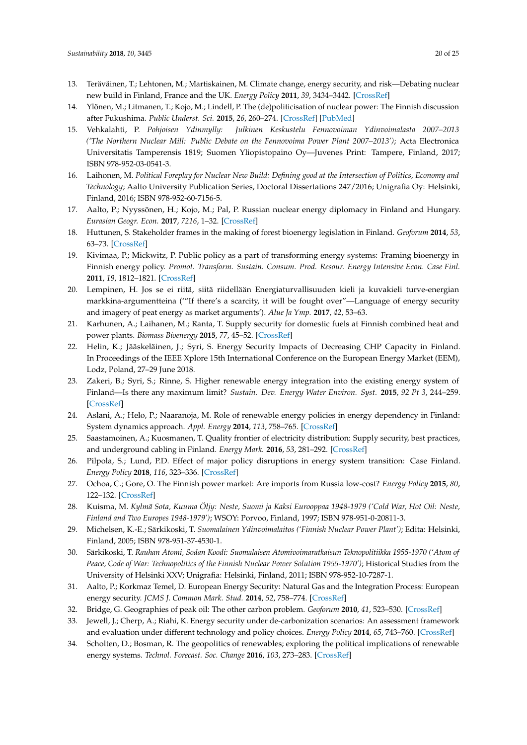- <span id="page-19-0"></span>13. Teräväinen, T.; Lehtonen, M.; Martiskainen, M. Climate change, energy security, and risk—Debating nuclear new build in Finland, France and the UK. *Energy Policy* **2011**, *39*, 3434–3442. [\[CrossRef\]](http://dx.doi.org/10.1016/j.enpol.2011.03.041)
- <span id="page-19-1"></span>14. Ylönen, M.; Litmanen, T.; Kojo, M.; Lindell, P. The (de)politicisation of nuclear power: The Finnish discussion after Fukushima. *Public Underst. Sci.* **2015**, *26*, 260–274. [\[CrossRef\]](http://dx.doi.org/10.1177/0963662515613678) [\[PubMed\]](http://www.ncbi.nlm.nih.gov/pubmed/26582069)
- <span id="page-19-2"></span>15. Vehkalahti, P. *Pohjoisen Ydinmylly: Julkinen Keskustelu Fennovoiman Ydinvoimalasta 2007–2013 ('The Northern Nuclear Mill: Public Debate on the Fennovoima Power Plant 2007–2013')*; Acta Electronica Universitatis Tamperensis 1819; Suomen Yliopistopaino Oy—Juvenes Print: Tampere, Finland, 2017; ISBN 978-952-03-0541-3.
- <span id="page-19-3"></span>16. Laihonen, M. *Political Foreplay for Nuclear New Build: Defining good at the Intersection of Politics, Economy and Technology*; Aalto University Publication Series, Doctoral Dissertations 247/2016; Unigrafia Oy: Helsinki, Finland, 2016; ISBN 978-952-60-7156-5.
- <span id="page-19-4"></span>17. Aalto, P.; Nyyssönen, H.; Kojo, M.; Pal, P. Russian nuclear energy diplomacy in Finland and Hungary. *Eurasian Geogr. Econ.* **2017**, *7216*, 1–32. [\[CrossRef\]](http://dx.doi.org/10.1080/15387216.2017.1396905)
- <span id="page-19-5"></span>18. Huttunen, S. Stakeholder frames in the making of forest bioenergy legislation in Finland. *Geoforum* **2014**, *53*, 63–73. [\[CrossRef\]](http://dx.doi.org/10.1016/j.geoforum.2014.02.006)
- <span id="page-19-6"></span>19. Kivimaa, P.; Mickwitz, P. Public policy as a part of transforming energy systems: Framing bioenergy in Finnish energy policy. *Promot. Transform. Sustain. Consum. Prod. Resour. Energy Intensive Econ. Case Finl.* **2011**, *19*, 1812–1821. [\[CrossRef\]](http://dx.doi.org/10.1016/j.jclepro.2011.02.004)
- <span id="page-19-7"></span>20. Lempinen, H. Jos se ei riitä, siitä riidellään Energiaturvallisuuden kieli ja kuvakieli turve-energian markkina-argumentteina ('"If there's a scarcity, it will be fought over"—Language of energy security and imagery of peat energy as market arguments'). *Alue Ja Ymp.* **2017**, *42*, 53–63.
- <span id="page-19-8"></span>21. Karhunen, A.; Laihanen, M.; Ranta, T. Supply security for domestic fuels at Finnish combined heat and power plants. *Biomass Bioenergy* **2015**, *77*, 45–52. [\[CrossRef\]](http://dx.doi.org/10.1016/j.biombioe.2015.03.019)
- <span id="page-19-9"></span>22. Helin, K.; Jääskeläinen, J.; Syri, S. Energy Security Impacts of Decreasing CHP Capacity in Finland. In Proceedings of the IEEE Xplore 15th International Conference on the European Energy Market (EEM), Lodz, Poland, 27–29 June 2018.
- <span id="page-19-10"></span>23. Zakeri, B.; Syri, S.; Rinne, S. Higher renewable energy integration into the existing energy system of Finland—Is there any maximum limit? *Sustain. Dev. Energy Water Environ. Syst.* **2015**, *92 Pt 3*, 244–259. [\[CrossRef\]](http://dx.doi.org/10.1016/j.energy.2015.01.007)
- <span id="page-19-11"></span>24. Aslani, A.; Helo, P.; Naaranoja, M. Role of renewable energy policies in energy dependency in Finland: System dynamics approach. *Appl. Energy* **2014**, *113*, 758–765. [\[CrossRef\]](http://dx.doi.org/10.1016/j.apenergy.2013.08.015)
- <span id="page-19-12"></span>25. Saastamoinen, A.; Kuosmanen, T. Quality frontier of electricity distribution: Supply security, best practices, and underground cabling in Finland. *Energy Mark.* **2016**, *53*, 281–292. [\[CrossRef\]](http://dx.doi.org/10.1016/j.eneco.2014.04.016)
- <span id="page-19-13"></span>26. Pilpola, S.; Lund, P.D. Effect of major policy disruptions in energy system transition: Case Finland. *Energy Policy* **2018**, *116*, 323–336. [\[CrossRef\]](http://dx.doi.org/10.1016/j.enpol.2018.02.028)
- <span id="page-19-14"></span>27. Ochoa, C.; Gore, O. The Finnish power market: Are imports from Russia low-cost? *Energy Policy* **2015**, *80*, 122–132. [\[CrossRef\]](http://dx.doi.org/10.1016/j.enpol.2015.01.031)
- <span id="page-19-15"></span>28. Kuisma, M. *Kylmä Sota, Kuuma Öljy: Neste, Suomi ja Kaksi Eurooppaa 1948-1979 ('Cold War, Hot Oil: Neste, Finland and Two Europes 1948-1979')*; WSOY: Porvoo, Finland, 1997; ISBN 978-951-0-20811-3.
- <span id="page-19-16"></span>29. Michelsen, K.-E.; Särkikoski, T. *Suomalainen Ydinvoimalaitos ('Finnish Nuclear Power Plant')*; Edita: Helsinki, Finland, 2005; ISBN 978-951-37-4530-1.
- <span id="page-19-17"></span>30. Särkikoski, T. *Rauhan Atomi, Sodan Koodi: Suomalaisen Atomivoimaratkaisun Teknopolitiikka 1955-1970 ('Atom of Peace, Code of War: Technopolitics of the Finnish Nuclear Power Solution 1955-1970')*; Historical Studies from the University of Helsinki XXV; Unigrafia: Helsinki, Finland, 2011; ISBN 978-952-10-7287-1.
- <span id="page-19-18"></span>31. Aalto, P.; Korkmaz Temel, D. European Energy Security: Natural Gas and the Integration Process: European energy security. *JCMS J. Common Mark. Stud.* **2014**, *52*, 758–774. [\[CrossRef\]](http://dx.doi.org/10.1111/jcms.12108)
- <span id="page-19-19"></span>32. Bridge, G. Geographies of peak oil: The other carbon problem. *Geoforum* **2010**, *41*, 523–530. [\[CrossRef\]](http://dx.doi.org/10.1016/j.geoforum.2010.06.002)
- <span id="page-19-20"></span>33. Jewell, J.; Cherp, A.; Riahi, K. Energy security under de-carbonization scenarios: An assessment framework and evaluation under different technology and policy choices. *Energy Policy* **2014**, *65*, 743–760. [\[CrossRef\]](http://dx.doi.org/10.1016/j.enpol.2013.10.051)
- <span id="page-19-21"></span>34. Scholten, D.; Bosman, R. The geopolitics of renewables; exploring the political implications of renewable energy systems. *Technol. Forecast. Soc. Change* **2016**, *103*, 273–283. [\[CrossRef\]](http://dx.doi.org/10.1016/j.techfore.2015.10.014)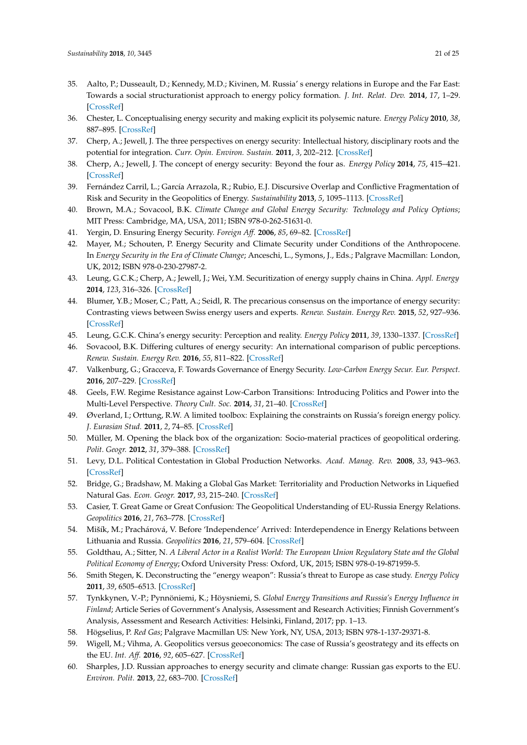- <span id="page-20-0"></span>35. Aalto, P.; Dusseault, D.; Kennedy, M.D.; Kivinen, M. Russia' s energy relations in Europe and the Far East: Towards a social structurationist approach to energy policy formation. *J. Int. Relat. Dev.* **2014**, *17*, 1–29. [\[CrossRef\]](http://dx.doi.org/10.1057/jird.2012.29)
- <span id="page-20-1"></span>36. Chester, L. Conceptualising energy security and making explicit its polysemic nature. *Energy Policy* **2010**, *38*, 887–895. [\[CrossRef\]](http://dx.doi.org/10.1016/j.enpol.2009.10.039)
- <span id="page-20-2"></span>37. Cherp, A.; Jewell, J. The three perspectives on energy security: Intellectual history, disciplinary roots and the potential for integration. *Curr. Opin. Environ. Sustain.* **2011**, *3*, 202–212. [\[CrossRef\]](http://dx.doi.org/10.1016/j.cosust.2011.07.001)
- <span id="page-20-3"></span>38. Cherp, A.; Jewell, J. The concept of energy security: Beyond the four as. *Energy Policy* **2014**, *75*, 415–421. [\[CrossRef\]](http://dx.doi.org/10.1016/j.enpol.2014.09.005)
- <span id="page-20-4"></span>39. Fernández Carril, L.; García Arrazola, R.; Rubio, E.J. Discursive Overlap and Conflictive Fragmentation of Risk and Security in the Geopolitics of Energy. *Sustainability* **2013**, *5*, 1095–1113. [\[CrossRef\]](http://dx.doi.org/10.3390/su5031095)
- <span id="page-20-5"></span>40. Brown, M.A.; Sovacool, B.K. *Climate Change and Global Energy Security: Technology and Policy Options*; MIT Press: Cambridge, MA, USA, 2011; ISBN 978-0-262-51631-0.
- <span id="page-20-6"></span>41. Yergin, D. Ensuring Energy Security. *Foreign Aff.* **2006**, *85*, 69–82. [\[CrossRef\]](http://dx.doi.org/10.2307/20031912)
- <span id="page-20-7"></span>42. Mayer, M.; Schouten, P. Energy Security and Climate Security under Conditions of the Anthropocene. In *Energy Security in the Era of Climate Change*; Anceschi, L., Symons, J., Eds.; Palgrave Macmillan: London, UK, 2012; ISBN 978-0-230-27987-2.
- <span id="page-20-8"></span>43. Leung, G.C.K.; Cherp, A.; Jewell, J.; Wei, Y.M. Securitization of energy supply chains in China. *Appl. Energy* **2014**, *123*, 316–326. [\[CrossRef\]](http://dx.doi.org/10.1016/j.apenergy.2013.12.016)
- <span id="page-20-9"></span>44. Blumer, Y.B.; Moser, C.; Patt, A.; Seidl, R. The precarious consensus on the importance of energy security: Contrasting views between Swiss energy users and experts. *Renew. Sustain. Energy Rev.* **2015**, *52*, 927–936. [\[CrossRef\]](http://dx.doi.org/10.1016/j.rser.2015.07.081)
- 45. Leung, G.C.K. China's energy security: Perception and reality. *Energy Policy* **2011**, *39*, 1330–1337. [\[CrossRef\]](http://dx.doi.org/10.1016/j.enpol.2010.12.005)
- <span id="page-20-10"></span>46. Sovacool, B.K. Differing cultures of energy security: An international comparison of public perceptions. *Renew. Sustain. Energy Rev.* **2016**, *55*, 811–822. [\[CrossRef\]](http://dx.doi.org/10.1016/j.rser.2015.10.144)
- <span id="page-20-11"></span>47. Valkenburg, G.; Gracceva, F. Towards Governance of Energy Security. *Low-Carbon Energy Secur. Eur. Perspect.* **2016**, 207–229. [\[CrossRef\]](http://dx.doi.org/10.1016/B978-0-12-802970-1.00008-5)
- <span id="page-20-12"></span>48. Geels, F.W. Regime Resistance against Low-Carbon Transitions: Introducing Politics and Power into the Multi-Level Perspective. *Theory Cult. Soc.* **2014**, *31*, 21–40. [\[CrossRef\]](http://dx.doi.org/10.1177/0263276414531627)
- <span id="page-20-13"></span>49. Øverland, I.; Orttung, R.W. A limited toolbox: Explaining the constraints on Russia's foreign energy policy. *J. Eurasian Stud.* **2011**, *2*, 74–85. [\[CrossRef\]](http://dx.doi.org/10.1016/j.euras.2010.10.006)
- <span id="page-20-14"></span>50. Müller, M. Opening the black box of the organization: Socio-material practices of geopolitical ordering. *Polit. Geogr.* **2012**, *31*, 379–388. [\[CrossRef\]](http://dx.doi.org/10.1016/j.polgeo.2012.06.001)
- <span id="page-20-15"></span>51. Levy, D.L. Political Contestation in Global Production Networks. *Acad. Manag. Rev.* **2008**, *33*, 943–963. [\[CrossRef\]](http://dx.doi.org/10.5465/amr.2008.34422006)
- <span id="page-20-16"></span>52. Bridge, G.; Bradshaw, M. Making a Global Gas Market: Territoriality and Production Networks in Liquefied Natural Gas. *Econ. Geogr.* **2017**, *93*, 215–240. [\[CrossRef\]](http://dx.doi.org/10.1080/00130095.2017.1283212)
- <span id="page-20-17"></span>53. Casier, T. Great Game or Great Confusion: The Geopolitical Understanding of EU-Russia Energy Relations. *Geopolitics* **2016**, *21*, 763–778. [\[CrossRef\]](http://dx.doi.org/10.1080/14650045.2016.1185607)
- <span id="page-20-18"></span>54. Mišík, M.; Prachárová, V. Before 'Independence' Arrived: Interdependence in Energy Relations between Lithuania and Russia. *Geopolitics* **2016**, *21*, 579–604. [\[CrossRef\]](http://dx.doi.org/10.1080/14650045.2015.1113402)
- <span id="page-20-19"></span>55. Goldthau, A.; Sitter, N. *A Liberal Actor in a Realist World: The European Union Regulatory State and the Global Political Economy of Energy*; Oxford University Press: Oxford, UK, 2015; ISBN 978-0-19-871959-5.
- <span id="page-20-20"></span>56. Smith Stegen, K. Deconstructing the "energy weapon": Russia's threat to Europe as case study. *Energy Policy* **2011**, *39*, 6505–6513. [\[CrossRef\]](http://dx.doi.org/10.1016/j.enpol.2011.07.051)
- <span id="page-20-21"></span>57. Tynkkynen, V.-P.; Pynnöniemi, K.; Höysniemi, S. *Global Energy Transitions and Russia's Energy Influence in Finland*; Article Series of Government's Analysis, Assessment and Research Activities; Finnish Government's Analysis, Assessment and Research Activities: Helsinki, Finland, 2017; pp. 1–13.
- <span id="page-20-22"></span>58. Högselius, P. *Red Gas*; Palgrave Macmillan US: New York, NY, USA, 2013; ISBN 978-1-137-29371-8.
- <span id="page-20-23"></span>59. Wigell, M.; Vihma, A. Geopolitics versus geoeconomics: The case of Russia's geostrategy and its effects on the EU. *Int. Aff.* **2016**, *92*, 605–627. [\[CrossRef\]](http://dx.doi.org/10.1111/1468-2346.12600)
- <span id="page-20-24"></span>60. Sharples, J.D. Russian approaches to energy security and climate change: Russian gas exports to the EU. *Environ. Polit.* **2013**, *22*, 683–700. [\[CrossRef\]](http://dx.doi.org/10.1080/09644016.2013.806628)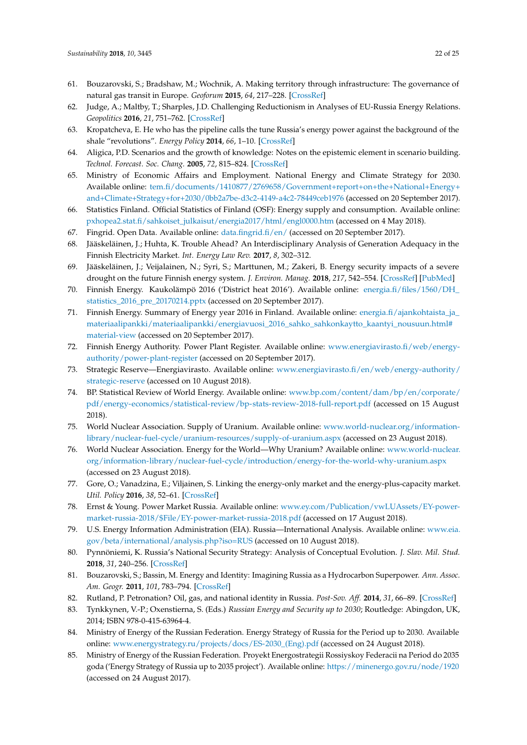- <span id="page-21-0"></span>61. Bouzarovski, S.; Bradshaw, M.; Wochnik, A. Making territory through infrastructure: The governance of natural gas transit in Europe. *Geoforum* **2015**, *64*, 217–228. [\[CrossRef\]](http://dx.doi.org/10.1016/j.geoforum.2015.06.022)
- <span id="page-21-1"></span>62. Judge, A.; Maltby, T.; Sharples, J.D. Challenging Reductionism in Analyses of EU-Russia Energy Relations. *Geopolitics* **2016**, *21*, 751–762. [\[CrossRef\]](http://dx.doi.org/10.1080/14650045.2016.1222520)
- <span id="page-21-2"></span>63. Kropatcheva, E. He who has the pipeline calls the tune Russia's energy power against the background of the shale "revolutions". *Energy Policy* **2014**, *66*, 1–10. [\[CrossRef\]](http://dx.doi.org/10.1016/j.enpol.2013.10.058)
- <span id="page-21-3"></span>64. Aligica, P.D. Scenarios and the growth of knowledge: Notes on the epistemic element in scenario building. *Technol. Forecast. Soc. Chang.* **2005**, *72*, 815–824. [\[CrossRef\]](http://dx.doi.org/10.1016/j.techfore.2005.01.001)
- <span id="page-21-4"></span>65. Ministry of Economic Affairs and Employment. National Energy and Climate Strategy for 2030. Available online: [tem.fi/documents/1410877/2769658/Government+report+on+the+National+Energy+](tem.fi/documents/1410877/2769658/Government+report+on+the+National+Energy+and+Climate+Strategy+for+2030/0bb2a7be-d3c2-4149-a4c2-78449ceb1976) [and+Climate+Strategy+for+2030/0bb2a7be-d3c2-4149-a4c2-78449ceb1976](tem.fi/documents/1410877/2769658/Government+report+on+the+National+Energy+and+Climate+Strategy+for+2030/0bb2a7be-d3c2-4149-a4c2-78449ceb1976) (accessed on 20 September 2017).
- <span id="page-21-5"></span>66. Statistics Finland. Official Statistics of Finland (OSF): Energy supply and consumption. Available online: [pxhopea2.stat.fi/sahkoiset\\_julkaisut/energia2017/html/engl0000.htm](pxhopea2.stat.fi/sahkoiset_julkaisut/energia2017/html/engl0000.htm) (accessed on 4 May 2018).
- <span id="page-21-6"></span>67. Fingrid. Open Data. Available online: <data.fingrid.fi/en/> (accessed on 20 September 2017).
- <span id="page-21-7"></span>68. Jääskeläinen, J.; Huhta, K. Trouble Ahead? An Interdisciplinary Analysis of Generation Adequacy in the Finnish Electricity Market. *Int. Energy Law Rev.* **2017**, *8*, 302–312.
- <span id="page-21-8"></span>69. Jääskeläinen, J.; Veijalainen, N.; Syri, S.; Marttunen, M.; Zakeri, B. Energy security impacts of a severe drought on the future Finnish energy system. *J. Environ. Manag.* **2018**, *217*, 542–554. [\[CrossRef\]](http://dx.doi.org/10.1016/j.jenvman.2018.03.017) [\[PubMed\]](http://www.ncbi.nlm.nih.gov/pubmed/29635187)
- <span id="page-21-9"></span>70. Finnish Energy. Kaukolämpö 2016 ('District heat 2016'). Available online: [energia.fi/files/1560/DH\\_](energia.fi/files/1560/DH_statistics_2016_pre_20170214.pptx) [statistics\\_2016\\_pre\\_20170214.pptx](energia.fi/files/1560/DH_statistics_2016_pre_20170214.pptx) (accessed on 20 September 2017).
- <span id="page-21-10"></span>71. Finnish Energy. Summary of Energy year 2016 in Finland. Available online: [energia.fi/ajankohtaista\\_ja\\_](energia.fi/ajankohtaista_ja_materiaalipankki/materiaalipankki/energiavuosi_2016_sahko_sahkonkaytto_kaantyi_nousuun.html#material-view) [materiaalipankki/materiaalipankki/energiavuosi\\_2016\\_sahko\\_sahkonkaytto\\_kaantyi\\_nousuun.html#](energia.fi/ajankohtaista_ja_materiaalipankki/materiaalipankki/energiavuosi_2016_sahko_sahkonkaytto_kaantyi_nousuun.html#material-view) [material-view](energia.fi/ajankohtaista_ja_materiaalipankki/materiaalipankki/energiavuosi_2016_sahko_sahkonkaytto_kaantyi_nousuun.html#material-view) (accessed on 20 September 2017).
- <span id="page-21-11"></span>72. Finnish Energy Authority. Power Plant Register. Available online: [www.energiavirasto.fi/web/energy](www.energiavirasto.fi/web/energy-authority/power-plant-register)[authority/power-plant-register](www.energiavirasto.fi/web/energy-authority/power-plant-register) (accessed on 20 September 2017).
- <span id="page-21-12"></span>73. Strategic Reserve—Energiavirasto. Available online: [www.energiavirasto.fi/en/web/energy-authority/](www.energiavirasto.fi/en/web/energy-authority/strategic-reserve) [strategic-reserve](www.energiavirasto.fi/en/web/energy-authority/strategic-reserve) (accessed on 10 August 2018).
- <span id="page-21-13"></span>74. BP. Statistical Review of World Energy. Available online: [www.bp.com/content/dam/bp/en/corporate/](www.bp.com/content/dam/bp/en/corporate/pdf/energy-economics/statistical-review/bp-stats-review-2018-full-report.pdf) [pdf/energy-economics/statistical-review/bp-stats-review-2018-full-report.pdf](www.bp.com/content/dam/bp/en/corporate/pdf/energy-economics/statistical-review/bp-stats-review-2018-full-report.pdf) (accessed on 15 August 2018).
- <span id="page-21-14"></span>75. World Nuclear Association. Supply of Uranium. Available online: [www.world-nuclear.org/information](www.world-nuclear.org/information-library/nuclear-fuel-cycle/uranium-resources/supply-of-uranium.aspx)[library/nuclear-fuel-cycle/uranium-resources/supply-of-uranium.aspx](www.world-nuclear.org/information-library/nuclear-fuel-cycle/uranium-resources/supply-of-uranium.aspx) (accessed on 23 August 2018).
- <span id="page-21-15"></span>76. World Nuclear Association. Energy for the World—Why Uranium? Available online: [www.world-nuclear.](www.world-nuclear.org/information-library/nuclear-fuel-cycle/introduction/energy-for-the-world-why-uranium.aspx) [org/information-library/nuclear-fuel-cycle/introduction/energy-for-the-world-why-uranium.aspx](www.world-nuclear.org/information-library/nuclear-fuel-cycle/introduction/energy-for-the-world-why-uranium.aspx) (accessed on 23 August 2018).
- <span id="page-21-16"></span>77. Gore, O.; Vanadzina, E.; Viljainen, S. Linking the energy-only market and the energy-plus-capacity market. *Util. Policy* **2016**, *38*, 52–61. [\[CrossRef\]](http://dx.doi.org/10.1016/j.jup.2015.12.002)
- <span id="page-21-17"></span>78. Ernst & Young. Power Market Russia. Available online: [www.ey.com/Publication/vwLUAssets/EY-power](www.ey.com/Publication/vwLUAssets/EY-power-market-russia-2018/$File/EY-power-market-russia-2018.pdf)[market-russia-2018/\\$File/EY-power-market-russia-2018.pdf](www.ey.com/Publication/vwLUAssets/EY-power-market-russia-2018/$File/EY-power-market-russia-2018.pdf) (accessed on 17 August 2018).
- <span id="page-21-18"></span>79. U.S. Energy Information Administration (EIA). Russia—International Analysis. Available online: [www.eia.](www.eia.gov/beta/international/analysis.php?iso=RUS) [gov/beta/international/analysis.php?iso=RUS](www.eia.gov/beta/international/analysis.php?iso=RUS) (accessed on 10 August 2018).
- <span id="page-21-19"></span>80. Pynnöniemi, K. Russia's National Security Strategy: Analysis of Conceptual Evolution. *J. Slav. Mil. Stud.* **2018**, *31*, 240–256. [\[CrossRef\]](http://dx.doi.org/10.1080/13518046.2018.1451091)
- <span id="page-21-20"></span>81. Bouzarovski, S.; Bassin, M. Energy and Identity: Imagining Russia as a Hydrocarbon Superpower. *Ann. Assoc. Am. Geogr.* **2011**, *101*, 783–794. [\[CrossRef\]](http://dx.doi.org/10.1080/00045608.2011.567942)
- <span id="page-21-21"></span>82. Rutland, P. Petronation? Oil, gas, and national identity in Russia. *Post-Sov. Aff.* **2014**, *31*, 66–89. [\[CrossRef\]](http://dx.doi.org/10.1080/1060586X.2014.952537)
- <span id="page-21-22"></span>83. Tynkkynen, V.-P.; Oxenstierna, S. (Eds.) *Russian Energy and Security up to 2030*; Routledge: Abingdon, UK, 2014; ISBN 978-0-415-63964-4.
- <span id="page-21-23"></span>84. Ministry of Energy of the Russian Federation. Energy Strategy of Russia for the Period up to 2030. Available online: [www.energystrategy.ru/projects/docs/ES-2030\\_\(Eng\).pdf](www.energystrategy.ru/projects/docs/ES-2030_(Eng).pdf) (accessed on 24 August 2018).
- <span id="page-21-24"></span>85. Ministry of Energy of the Russian Federation. Proyekt Energostrategii Rossiyskoy Federacii na Period do 2035 goda ('Energy Strategy of Russia up to 2035 project'). Available online: <https://minenergo.gov.ru/node/1920> (accessed on 24 August 2017).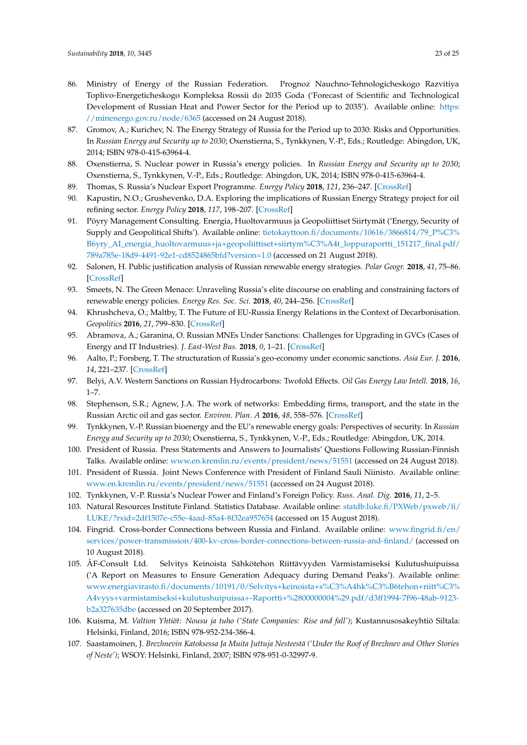- <span id="page-22-0"></span>86. Ministry of Energy of the Russian Federation. Prognoz Nauchno-Tehnologicheskogo Razvitiya Toplivo-Energeticheskogo Kompleksa Rossii do 2035 Goda ('Forecast of Scientific and Technological Development of Russian Heat and Power Sector for the Period up to 2035'). Available online: [https:](https://minenergo.gov.ru/node/6365) [//minenergo.gov.ru/node/6365](https://minenergo.gov.ru/node/6365) (accessed on 24 August 2018).
- <span id="page-22-1"></span>87. Gromov, A.; Kurichev, N. The Energy Strategy of Russia for the Period up to 2030: Risks and Opportunities. In *Russian Energy and Security up to 2030*; Oxenstierna, S., Tynkkynen, V.-P., Eds.; Routledge: Abingdon, UK, 2014; ISBN 978-0-415-63964-4.
- <span id="page-22-2"></span>88. Oxenstierna, S. Nuclear power in Russia's energy policies. In *Russian Energy and Security up to 2030*; Oxenstierna, S., Tynkkynen, V.-P., Eds.; Routledge: Abingdon, UK, 2014; ISBN 978-0-415-63964-4.
- <span id="page-22-21"></span>89. Thomas, S. Russia's Nuclear Export Programme. *Energy Policy* **2018**, *121*, 236–247. [\[CrossRef\]](http://dx.doi.org/10.1016/j.enpol.2018.06.036)
- <span id="page-22-3"></span>90. Kapustin, N.O.; Grushevenko, D.A. Exploring the implications of Russian Energy Strategy project for oil refining sector. *Energy Policy* **2018**, *117*, 198–207. [\[CrossRef\]](http://dx.doi.org/10.1016/j.enpol.2018.03.005)
- <span id="page-22-4"></span>91. Pöyry Management Consulting. Energia, Huoltovarmuus ja Geopoliittiset Siirtymät ('Energy, Security of Supply and Geopolitical Shifts'). Available online: [tietokayttoon.fi/documents/10616/3866814/79\\_P%C3%](tietokayttoon.fi/documents/10616/3866814/79_P%C3%B6yry_AI_energia_huoltovarmuus+ja+geopoliittiset+siirtym%C3%A4t_loppuraportti_151217_final.pdf/789a785e-18d9-4491-92e1-cd8524865bfd?version=1.0) [B6yry\\_AI\\_energia\\_huoltovarmuus+ja+geopoliittiset+siirtym%C3%A4t\\_loppuraportti\\_151217\\_final.pdf/](tietokayttoon.fi/documents/10616/3866814/79_P%C3%B6yry_AI_energia_huoltovarmuus+ja+geopoliittiset+siirtym%C3%A4t_loppuraportti_151217_final.pdf/789a785e-18d9-4491-92e1-cd8524865bfd?version=1.0) [789a785e-18d9-4491-92e1-cd8524865bfd?version=1.0](tietokayttoon.fi/documents/10616/3866814/79_P%C3%B6yry_AI_energia_huoltovarmuus+ja+geopoliittiset+siirtym%C3%A4t_loppuraportti_151217_final.pdf/789a785e-18d9-4491-92e1-cd8524865bfd?version=1.0) (accessed on 21 August 2018).
- <span id="page-22-5"></span>92. Salonen, H. Public justification analysis of Russian renewable energy strategies. *Polar Geogr.* **2018**, *41*, 75–86. [\[CrossRef\]](http://dx.doi.org/10.1080/1088937X.2018.1457730)
- <span id="page-22-6"></span>93. Smeets, N. The Green Menace: Unraveling Russia's elite discourse on enabling and constraining factors of renewable energy policies. *Energy Res. Soc. Sci.* **2018**, *40*, 244–256. [\[CrossRef\]](http://dx.doi.org/10.1016/j.erss.2018.02.016)
- <span id="page-22-7"></span>94. Khrushcheva, O.; Maltby, T. The Future of EU-Russia Energy Relations in the Context of Decarbonisation. *Geopolitics* **2016**, *21*, 799–830. [\[CrossRef\]](http://dx.doi.org/10.1080/14650045.2016.1188081)
- <span id="page-22-8"></span>95. Abramova, A.; Garanina, O. Russian MNEs Under Sanctions: Challenges for Upgrading in GVCs (Cases of Energy and IT Industries). *J. East-West Bus.* **2018**, *0*, 1–21. [\[CrossRef\]](http://dx.doi.org/10.1080/10669868.2018.1467843)
- <span id="page-22-9"></span>96. Aalto, P.; Forsberg, T. The structuration of Russia's geo-economy under economic sanctions. *Asia Eur. J.* **2016**, *14*, 221–237. [\[CrossRef\]](http://dx.doi.org/10.1007/s10308-015-0446-6)
- <span id="page-22-10"></span>97. Belyi, A.V. Western Sanctions on Russian Hydrocarbons: Twofold Effects. *Oil Gas Energy Law Intell.* **2018**, *16*, 1–7.
- <span id="page-22-11"></span>98. Stephenson, S.R.; Agnew, J.A. The work of networks: Embedding firms, transport, and the state in the Russian Arctic oil and gas sector. *Environ. Plan. A* **2016**, *48*, 558–576. [\[CrossRef\]](http://dx.doi.org/10.1177/0308518X15617755)
- <span id="page-22-12"></span>99. Tynkkynen, V.-P. Russian bioenergy and the EU's renewable energy goals: Perspectives of security. In *Russian Energy and Security up to 2030*; Oxenstierna, S., Tynkkynen, V.-P., Eds.; Routledge: Abingdon, UK, 2014.
- <span id="page-22-13"></span>100. President of Russia. Press Statements and Answers to Journalists' Questions Following Russian-Finnish Talks. Available online: <www.en.kremlin.ru/events/president/news/51551> (accessed on 24 August 2018).
- <span id="page-22-14"></span>101. President of Russia. Joint News Conference with President of Finland Sauli Niinisto. Available online: <www.en.kremlin.ru/events/president/news/51551> (accessed on 24 August 2018).
- <span id="page-22-15"></span>102. Tynkkynen, V.-P. Russia's Nuclear Power and Finland's Foreign Policy. *Russ. Anal. Dig.* **2016**, *11*, 2–5.
- <span id="page-22-16"></span>103. Natural Resources Institute Finland. Statistics Database. Available online: [statdb.luke.fi/PXWeb/pxweb/fi/](statdb.luke.fi/PXWeb/pxweb/fi/LUKE/?rxid=2df1507e-c55e-4aad-85a4-8f32ea957654) [LUKE/?rxid=2df1507e-c55e-4aad-85a4-8f32ea957654](statdb.luke.fi/PXWeb/pxweb/fi/LUKE/?rxid=2df1507e-c55e-4aad-85a4-8f32ea957654) (accessed on 15 August 2018).
- <span id="page-22-17"></span>104. Fingrid. Cross-border Connections between Russia and Finland. Available online: [www.fingrid.fi/en/](www.fingrid.fi/en/services/power-transmission/400-kv-cross-border-connections-between-russia-and-finland/) [services/power-transmission/400-kv-cross-border-connections-between-russia-and-finland/](www.fingrid.fi/en/services/power-transmission/400-kv-cross-border-connections-between-russia-and-finland/) (accessed on 10 August 2018).
- <span id="page-22-18"></span>105. ÅF-Consult Ltd. Selvitys Keinoista Sähkötehon Riittävyyden Varmistamiseksi Kulutushuipuissa ('A Report on Measures to Ensure Generation Adequacy during Demand Peaks'). Available online: [www.energiavirasto.fi/documents/10191/0/Selvitys+keinoista+s%C3%A4hk%C3%B6tehon+riitt%C3%](www.energiavirasto.fi/documents/10191/0/Selvitys+keinoista+s%C3%A4hk%C3%B6tehon+riitt%C3%A4vyys+varmistamiseksi+kulutushuipuissa+-Raportti+%2800000004%29.pdf/d3ff1994-7f96-48ab-9123-b2a327635dbe) [A4vyys+varmistamiseksi+kulutushuipuissa+-Raportti+%2800000004%29.pdf/d3ff1994-7f96-48ab-9123](www.energiavirasto.fi/documents/10191/0/Selvitys+keinoista+s%C3%A4hk%C3%B6tehon+riitt%C3%A4vyys+varmistamiseksi+kulutushuipuissa+-Raportti+%2800000004%29.pdf/d3ff1994-7f96-48ab-9123-b2a327635dbe) [b2a327635dbe](www.energiavirasto.fi/documents/10191/0/Selvitys+keinoista+s%C3%A4hk%C3%B6tehon+riitt%C3%A4vyys+varmistamiseksi+kulutushuipuissa+-Raportti+%2800000004%29.pdf/d3ff1994-7f96-48ab-9123-b2a327635dbe) (accessed on 20 September 2017).
- <span id="page-22-19"></span>106. Kuisma, M. *Valtion Yhtiöt: Nousu ja tuho ('State Companies: Rise and fall')*; Kustannusosakeyhtiö Siltala: Helsinki, Finland, 2016; ISBN 978-952-234-386-4.
- <span id="page-22-20"></span>107. Saastamoinen, J. *Brezhnevin Katoksessa Ja Muita Juttuja Nesteestä ('Under the Roof of Brezhnev and Other Stories of Neste')*; WSOY: Helsinki, Finland, 2007; ISBN 978-951-0-32997-9.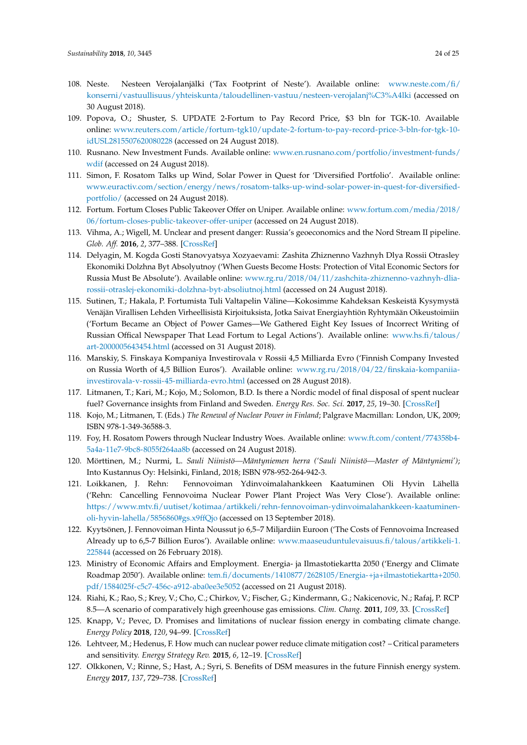- <span id="page-23-0"></span>108. Neste. Nesteen Verojalanjälki ('Tax Footprint of Neste'). Available online: [www.neste.com/fi/](www.neste.com/fi/konserni/vastuullisuus/yhteiskunta/taloudellinen-vastuu/nesteen-verojalanj%C3%A4lki) [konserni/vastuullisuus/yhteiskunta/taloudellinen-vastuu/nesteen-verojalanj%C3%A4lki](www.neste.com/fi/konserni/vastuullisuus/yhteiskunta/taloudellinen-vastuu/nesteen-verojalanj%C3%A4lki) (accessed on 30 August 2018).
- <span id="page-23-1"></span>109. Popova, O.; Shuster, S. UPDATE 2-Fortum to Pay Record Price, \$3 bln for TGK-10. Available online: [www.reuters.com/article/fortum-tgk10/update-2-fortum-to-pay-record-price-3-bln-for-tgk-10](www.reuters.com/article/fortum-tgk10/update-2-fortum-to-pay-record-price-3-bln-for-tgk-10-idUSL2815507620080228) [idUSL2815507620080228](www.reuters.com/article/fortum-tgk10/update-2-fortum-to-pay-record-price-3-bln-for-tgk-10-idUSL2815507620080228) (accessed on 24 August 2018).
- <span id="page-23-2"></span>110. Rusnano. New Investment Funds. Available online: [www.en.rusnano.com/portfolio/investment-funds/](www.en.rusnano.com/portfolio/investment-funds/wdif) [wdif](www.en.rusnano.com/portfolio/investment-funds/wdif) (accessed on 24 August 2018).
- <span id="page-23-3"></span>111. Simon, F. Rosatom Talks up Wind, Solar Power in Quest for 'Diversified Portfolio'. Available online: [www.euractiv.com/section/energy/news/rosatom-talks-up-wind-solar-power-in-quest-for-diversified](www.euractiv.com/section/energy/news/rosatom-talks-up-wind-solar-power-in-quest-for-diversified-portfolio/)[portfolio/](www.euractiv.com/section/energy/news/rosatom-talks-up-wind-solar-power-in-quest-for-diversified-portfolio/) (accessed on 24 August 2018).
- <span id="page-23-4"></span>112. Fortum. Fortum Closes Public Takeover Offer on Uniper. Available online: [www.fortum.com/media/2018/](www.fortum.com/media/2018/06/fortum-closes-public-takeover-offer-uniper) [06/fortum-closes-public-takeover-offer-uniper](www.fortum.com/media/2018/06/fortum-closes-public-takeover-offer-uniper) (accessed on 24 August 2018).
- <span id="page-23-5"></span>113. Vihma, A.; Wigell, M. Unclear and present danger: Russia's geoeconomics and the Nord Stream II pipeline. *Glob. Aff.* **2016**, *2*, 377–388. [\[CrossRef\]](http://dx.doi.org/10.1080/23340460.2016.1251073)
- <span id="page-23-6"></span>114. Delyagin, M. Kogda Gosti Stanovyatsya Xozyaevami: Zashita Zhiznenno Vazhnyh Dlya Rossii Otrasley Ekonomiki Dolzhna Byt Absolyutnoy ('When Guests Become Hosts: Protection of Vital Economic Sectors for Russia Must Be Absolute'). Available online: [www.rg.ru/2018/04/11/zashchita-zhiznenno-vazhnyh-dlia](www.rg.ru/2018/04/11/zashchita-zhiznenno-vazhnyh-dlia-rossii-otraslej-ekonomiki-dolzhna-byt-absoliutnoj.html)[rossii-otraslej-ekonomiki-dolzhna-byt-absoliutnoj.html](www.rg.ru/2018/04/11/zashchita-zhiznenno-vazhnyh-dlia-rossii-otraslej-ekonomiki-dolzhna-byt-absoliutnoj.html) (accessed on 24 August 2018).
- <span id="page-23-7"></span>115. Sutinen, T.; Hakala, P. Fortumista Tuli Valtapelin Väline—Kokosimme Kahdeksan Keskeistä Kysymystä Venäjän Virallisen Lehden Virheellisistä Kirjoituksista, Jotka Saivat Energiayhtiön Ryhtymään Oikeustoimiin ('Fortum Became an Object of Power Games—We Gathered Eight Key Issues of Incorrect Writing of Russian Offical Newspaper That Lead Fortum to Legal Actions'). Available online: [www.hs.fi/talous/](www.hs.fi/talous/art-2000005643454.html) [art-2000005643454.html](www.hs.fi/talous/art-2000005643454.html) (accessed on 31 August 2018).
- <span id="page-23-8"></span>116. Manskiy, S. Finskaya Kompaniya Investirovala v Rossii 4,5 Milliarda Evro ('Finnish Company Invested on Russia Worth of 4,5 Billion Euros'). Available online: [www.rg.ru/2018/04/22/finskaia-kompaniia](www.rg.ru/2018/04/22/finskaia-kompaniia-investirovala-v-rossii-45-milliarda-evro.html)[investirovala-v-rossii-45-milliarda-evro.html](www.rg.ru/2018/04/22/finskaia-kompaniia-investirovala-v-rossii-45-milliarda-evro.html) (accessed on 28 August 2018).
- <span id="page-23-9"></span>117. Litmanen, T.; Kari, M.; Kojo, M.; Solomon, B.D. Is there a Nordic model of final disposal of spent nuclear fuel? Governance insights from Finland and Sweden. *Energy Res. Soc. Sci.* **2017**, *25*, 19–30. [\[CrossRef\]](http://dx.doi.org/10.1016/j.erss.2016.10.009)
- <span id="page-23-10"></span>118. Kojo, M.; Litmanen, T. (Eds.) *The Renewal of Nuclear Power in Finland*; Palgrave Macmillan: London, UK, 2009; ISBN 978-1-349-36588-3.
- <span id="page-23-11"></span>119. Foy, H. Rosatom Powers through Nuclear Industry Woes. Available online: [www.ft.com/content/774358b4-](www.ft.com/content/774358b4-5a4a-11e7-9bc8-8055f264aa8b) [5a4a-11e7-9bc8-8055f264aa8b](www.ft.com/content/774358b4-5a4a-11e7-9bc8-8055f264aa8b) (accessed on 24 August 2018).
- <span id="page-23-12"></span>120. Mörttinen, M.; Nurmi, L. *Sauli Niinistö—Mäntyniemen herra ('Sauli Niinistö—Master of Mäntyniemi')*; Into Kustannus Oy: Helsinki, Finland, 2018; ISBN 978-952-264-942-3.
- <span id="page-23-13"></span>121. Loikkanen, J. Rehn: Fennovoiman Ydinvoimalahankkeen Kaatuminen Oli Hyvin Lähellä ('Rehn: Cancelling Fennovoima Nuclear Power Plant Project Was Very Close'). Available online: [https://www.mtv.fi/uutiset/kotimaa/artikkeli/rehn-fennovoiman-ydinvoimalahankkeen-kaatuminen](https://www.mtv.fi/uutiset/kotimaa/artikkeli/rehn-fennovoiman-ydinvoimalahankkeen-kaatuminen-oli-hyvin-lahella/5856860#gs.x9ffQjo)[oli-hyvin-lahella/5856860#gs.x9ffQjo](https://www.mtv.fi/uutiset/kotimaa/artikkeli/rehn-fennovoiman-ydinvoimalahankkeen-kaatuminen-oli-hyvin-lahella/5856860#gs.x9ffQjo) (accessed on 13 September 2018).
- <span id="page-23-14"></span>122. Kyytsönen, J. Fennovoiman Hinta Noussut jo 6,5–7 Miljardiin Euroon ('The Costs of Fennovoima Increased Already up to 6,5-7 Billion Euros'). Available online: [www.maaseuduntulevaisuus.fi/talous/artikkeli-1.](www.maaseuduntulevaisuus.fi/talous/artikkeli-1.225844) [225844](www.maaseuduntulevaisuus.fi/talous/artikkeli-1.225844) (accessed on 26 February 2018).
- <span id="page-23-15"></span>123. Ministry of Economic Affairs and Employment. Energia- ja Ilmastotiekartta 2050 ('Energy and Climate Roadmap 2050'). Available online: [tem.fi/documents/1410877/2628105/Energia-+ja+ilmastotiekartta+2050.](tem.fi/documents/1410877/2628105/Energia-+ja+ilmastotiekartta+2050.pdf/1584025f-c5c7-456c-a912-aba0ee3e5052) [pdf/1584025f-c5c7-456c-a912-aba0ee3e5052](tem.fi/documents/1410877/2628105/Energia-+ja+ilmastotiekartta+2050.pdf/1584025f-c5c7-456c-a912-aba0ee3e5052) (accessed on 21 August 2018).
- <span id="page-23-16"></span>124. Riahi, K.; Rao, S.; Krey, V.; Cho, C.; Chirkov, V.; Fischer, G.; Kindermann, G.; Nakicenovic, N.; Rafaj, P. RCP 8.5—A scenario of comparatively high greenhouse gas emissions. *Clim. Chang.* **2011**, *109*, 33. [\[CrossRef\]](http://dx.doi.org/10.1007/s10584-011-0149-y)
- <span id="page-23-17"></span>125. Knapp, V.; Pevec, D. Promises and limitations of nuclear fission energy in combating climate change. *Energy Policy* **2018**, *120*, 94–99. [\[CrossRef\]](http://dx.doi.org/10.1016/j.enpol.2018.05.027)
- <span id="page-23-18"></span>126. Lehtveer, M.; Hedenus, F. How much can nuclear power reduce climate mitigation cost? – Critical parameters and sensitivity. *Energy Strategy Rev.* **2015**, *6*, 12–19. [\[CrossRef\]](http://dx.doi.org/10.1016/j.esr.2014.11.003)
- <span id="page-23-19"></span>127. Olkkonen, V.; Rinne, S.; Hast, A.; Syri, S. Benefits of DSM measures in the future Finnish energy system. *Energy* **2017**, *137*, 729–738. [\[CrossRef\]](http://dx.doi.org/10.1016/j.energy.2017.05.186)